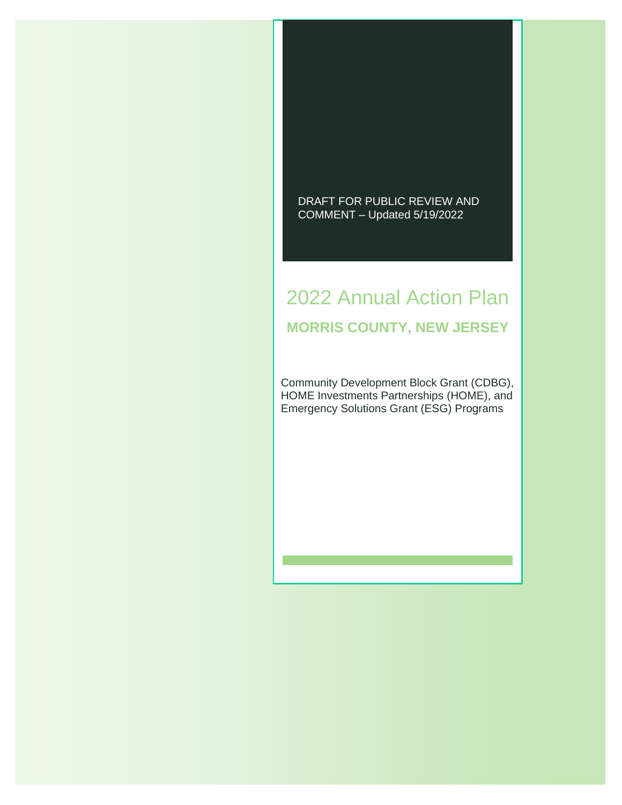#### DRAFT FOR PUBLIC REVIEW AND COMMENT – Updated 5/19/2022

# 2022 Annual Action Plan **MORRIS COUNTY, NEW JERSEY**

Community Development Block Grant (CDBG), HOME Investments Partnerships (HOME), and Emergency Solutions Grant (ESG) Programs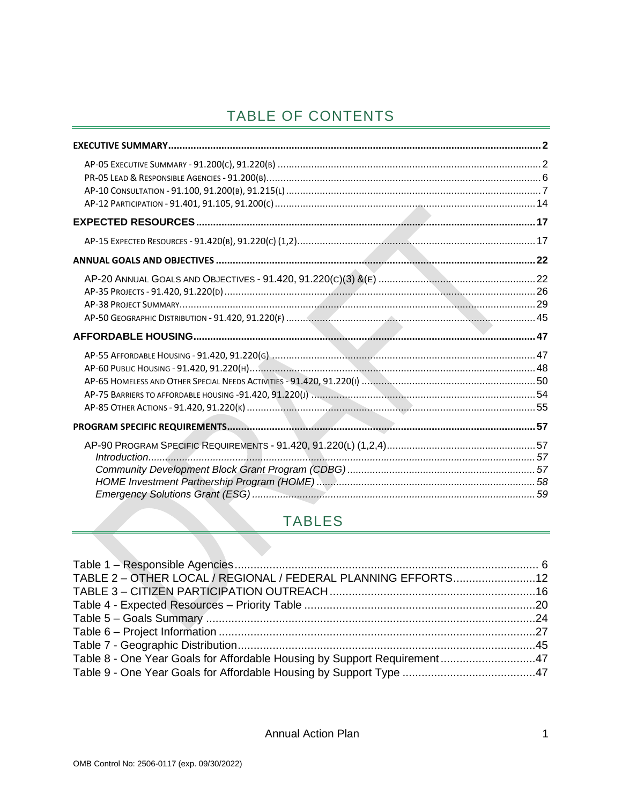## TABLE OF CONTENTS

## **TABLES**

| TABLE 2 - OTHER LOCAL / REGIONAL / FEDERAL PLANNING EFFORTS12            |  |
|--------------------------------------------------------------------------|--|
|                                                                          |  |
|                                                                          |  |
|                                                                          |  |
|                                                                          |  |
|                                                                          |  |
| Table 8 - One Year Goals for Affordable Housing by Support Requirement47 |  |
|                                                                          |  |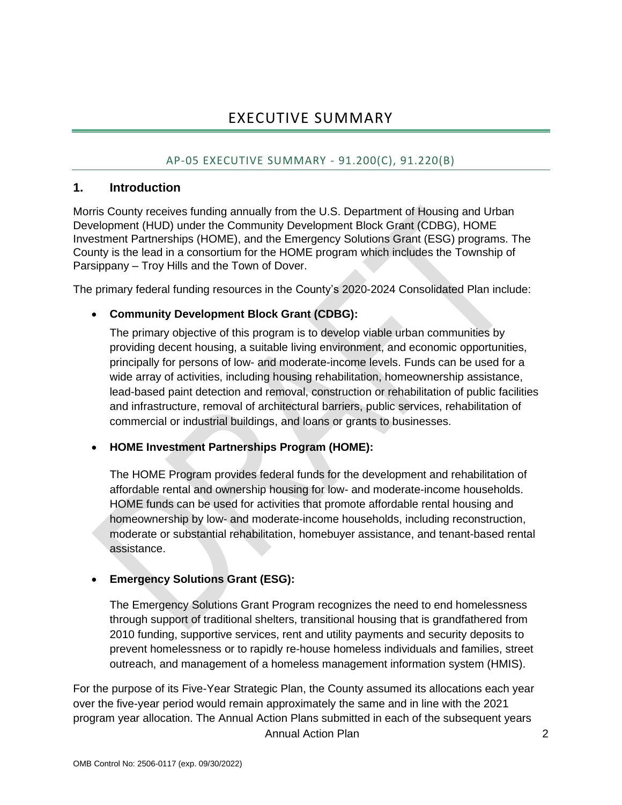## EXECUTIVE SUMMARY

#### AP-05 EXECUTIVE SUMMARY - 91.200(C), 91.220(B)

#### <span id="page-2-1"></span><span id="page-2-0"></span>**1. Introduction**

Morris County receives funding annually from the U.S. Department of Housing and Urban Development (HUD) under the Community Development Block Grant (CDBG), HOME Investment Partnerships (HOME), and the Emergency Solutions Grant (ESG) programs. The County is the lead in a consortium for the HOME program which includes the Township of Parsippany – Troy Hills and the Town of Dover.

The primary federal funding resources in the County's 2020-2024 Consolidated Plan include:

#### • **Community Development Block Grant (CDBG):**

The primary objective of this program is to develop viable urban communities by providing decent housing, a suitable living environment, and economic opportunities, principally for persons of low- and moderate-income levels. Funds can be used for a wide array of activities, including housing rehabilitation, homeownership assistance, lead-based paint detection and removal, construction or rehabilitation of public facilities and infrastructure, removal of architectural barriers, public services, rehabilitation of commercial or industrial buildings, and loans or grants to businesses.

#### • **HOME Investment Partnerships Program (HOME):**

The HOME Program provides federal funds for the development and rehabilitation of affordable rental and ownership housing for low- and moderate-income households. HOME funds can be used for activities that promote affordable rental housing and homeownership by low- and moderate-income households, including reconstruction, moderate or substantial rehabilitation, homebuyer assistance, and tenant-based rental assistance.

#### • **Emergency Solutions Grant (ESG):**

The Emergency Solutions Grant Program recognizes the need to end homelessness through support of traditional shelters, transitional housing that is grandfathered from 2010 funding, supportive services, rent and utility payments and security deposits to prevent homelessness or to rapidly re-house homeless individuals and families, street outreach, and management of a homeless management information system (HMIS).

Annual Action Plan 2 For the purpose of its Five-Year Strategic Plan, the County assumed its allocations each year over the five-year period would remain approximately the same and in line with the 2021 program year allocation. The Annual Action Plans submitted in each of the subsequent years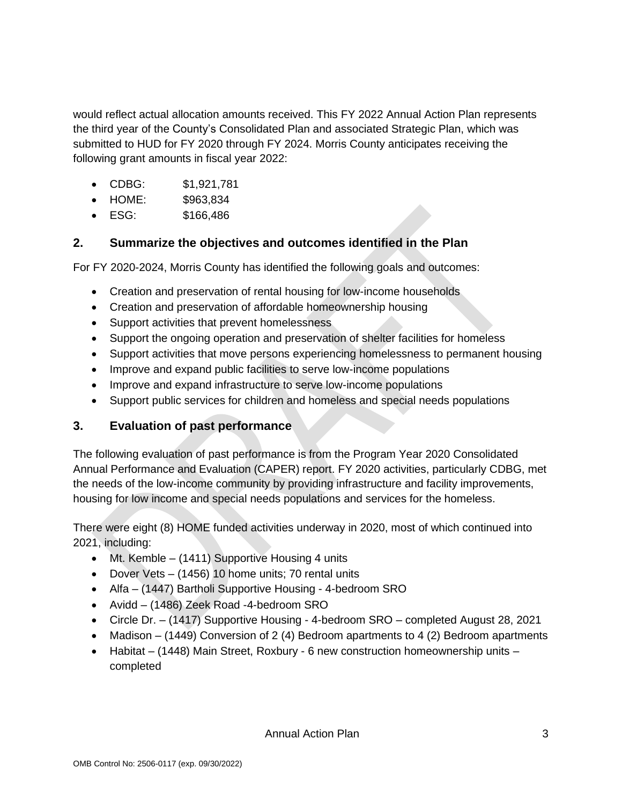would reflect actual allocation amounts received. This FY 2022 Annual Action Plan represents the third year of the County's Consolidated Plan and associated Strategic Plan, which was submitted to HUD for FY 2020 through FY 2024. Morris County anticipates receiving the following grant amounts in fiscal year 2022:

- CDBG: \$1,921,781
- HOME: \$963,834
- ESG: \$166,486

## **2. Summarize the objectives and outcomes identified in the Plan**

For FY 2020-2024, Morris County has identified the following goals and outcomes:

- Creation and preservation of rental housing for low-income households
- Creation and preservation of affordable homeownership housing
- Support activities that prevent homelessness
- Support the ongoing operation and preservation of shelter facilities for homeless
- Support activities that move persons experiencing homelessness to permanent housing
- Improve and expand public facilities to serve low-income populations
- Improve and expand infrastructure to serve low-income populations
- Support public services for children and homeless and special needs populations

### **3. Evaluation of past performance**

The following evaluation of past performance is from the Program Year 2020 Consolidated Annual Performance and Evaluation (CAPER) report. FY 2020 activities, particularly CDBG, met the needs of the low-income community by providing infrastructure and facility improvements, housing for low income and special needs populations and services for the homeless.

There were eight (8) HOME funded activities underway in 2020, most of which continued into 2021, including:

- Mt. Kemble (1411) Supportive Housing 4 units
- Dover Vets (1456) 10 home units; 70 rental units
- Alfa (1447) Bartholi Supportive Housing 4-bedroom SRO
- Avidd (1486) Zeek Road -4-bedroom SRO
- Circle Dr. (1417) Supportive Housing 4-bedroom SRO completed August 28, 2021
- Madison (1449) Conversion of 2 (4) Bedroom apartments to 4 (2) Bedroom apartments
- Habitat (1448) Main Street, Roxbury 6 new construction homeownership units completed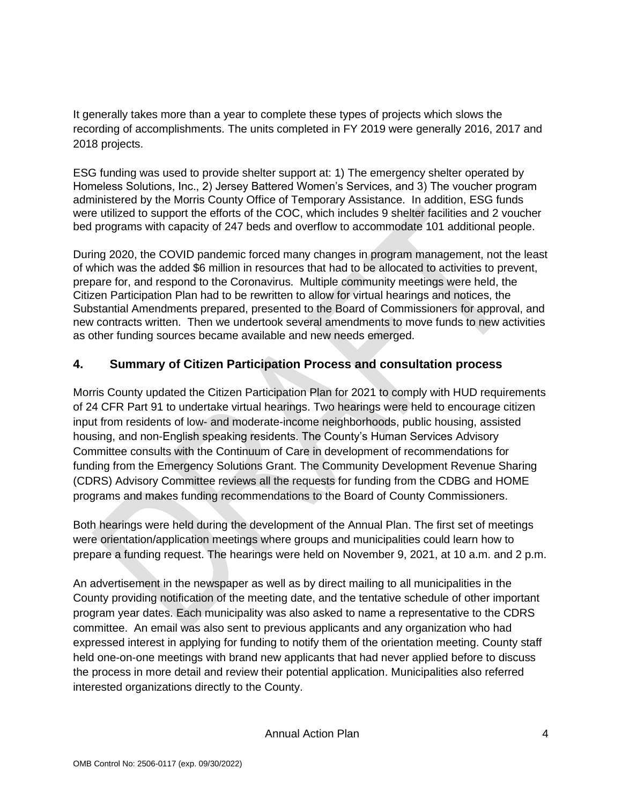It generally takes more than a year to complete these types of projects which slows the recording of accomplishments. The units completed in FY 2019 were generally 2016, 2017 and 2018 projects.

ESG funding was used to provide shelter support at: 1) The emergency shelter operated by Homeless Solutions, Inc., 2) Jersey Battered Women's Services, and 3) The voucher program administered by the Morris County Office of Temporary Assistance. In addition, ESG funds were utilized to support the efforts of the COC, which includes 9 shelter facilities and 2 voucher bed programs with capacity of 247 beds and overflow to accommodate 101 additional people.

During 2020, the COVID pandemic forced many changes in program management, not the least of which was the added \$6 million in resources that had to be allocated to activities to prevent, prepare for, and respond to the Coronavirus. Multiple community meetings were held, the Citizen Participation Plan had to be rewritten to allow for virtual hearings and notices, the Substantial Amendments prepared, presented to the Board of Commissioners for approval, and new contracts written. Then we undertook several amendments to move funds to new activities as other funding sources became available and new needs emerged.

## **4. Summary of Citizen Participation Process and consultation process**

Morris County updated the Citizen Participation Plan for 2021 to comply with HUD requirements of 24 CFR Part 91 to undertake virtual hearings. Two hearings were held to encourage citizen input from residents of low- and moderate-income neighborhoods, public housing, assisted housing, and non-English speaking residents. The County's Human Services Advisory Committee consults with the Continuum of Care in development of recommendations for funding from the Emergency Solutions Grant. The Community Development Revenue Sharing (CDRS) Advisory Committee reviews all the requests for funding from the CDBG and HOME programs and makes funding recommendations to the Board of County Commissioners.

Both hearings were held during the development of the Annual Plan. The first set of meetings were orientation/application meetings where groups and municipalities could learn how to prepare a funding request. The hearings were held on November 9, 2021, at 10 a.m. and 2 p.m.

An advertisement in the newspaper as well as by direct mailing to all municipalities in the County providing notification of the meeting date, and the tentative schedule of other important program year dates. Each municipality was also asked to name a representative to the CDRS committee. An email was also sent to previous applicants and any organization who had expressed interest in applying for funding to notify them of the orientation meeting. County staff held one-on-one meetings with brand new applicants that had never applied before to discuss the process in more detail and review their potential application. Municipalities also referred interested organizations directly to the County.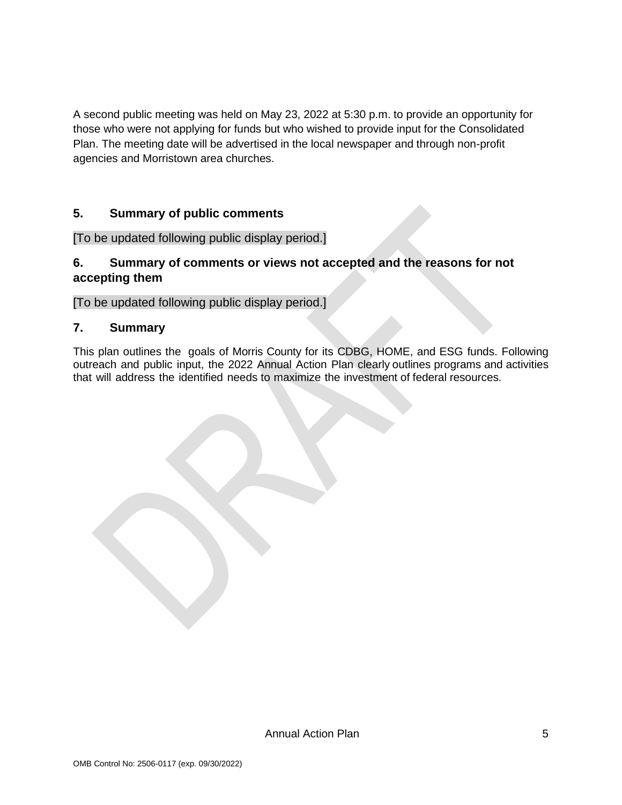A second public meeting was held on May 23, 2022 at 5:30 p.m. to provide an opportunity for those who were not applying for funds but who wished to provide input for the Consolidated Plan. The meeting date will be advertised in the local newspaper and through non-profit agencies and Morristown area churches.

#### **5. Summary of public comments**

[To be updated following public display period.]

#### **6. Summary of comments or views not accepted and the reasons for not accepting them**

[To be updated following public display period.]

#### **7. Summary**

This plan outlines the goals of Morris County for its CDBG, HOME, and ESG funds. Following outreach and public input, the 2022 Annual Action Plan clearly outlines programs and activities that will address the identified needs to maximize the investment of federal resources.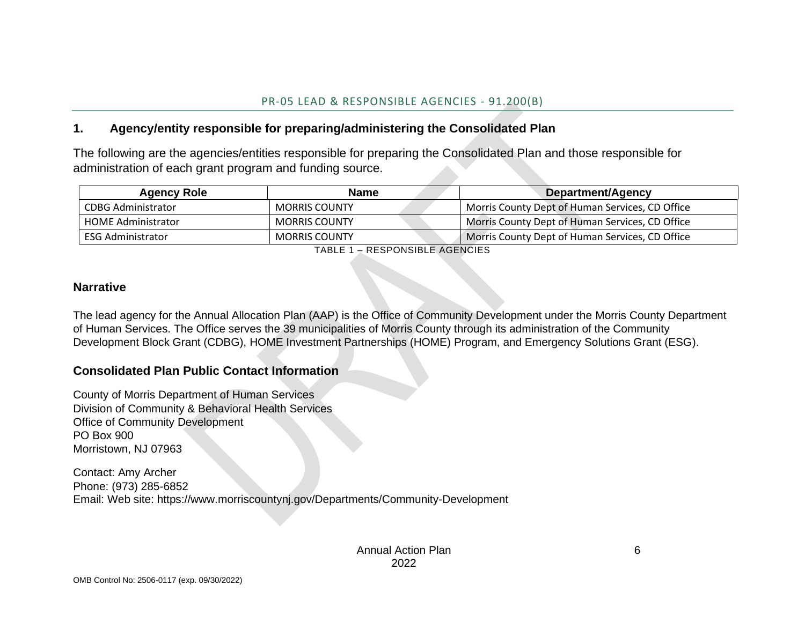### **1. Agency/entity responsible for preparing/administering the Consolidated Plan**

The following are the agencies/entities responsible for preparing the Consolidated Plan and those responsible for administration of each grant program and funding source.

| <b>Agency Role</b>        | <b>Name</b>          | Department/Agency                               |
|---------------------------|----------------------|-------------------------------------------------|
| CDBG Administrator        | <b>MORRIS COUNTY</b> | Morris County Dept of Human Services, CD Office |
| <b>HOME Administrator</b> | <b>MORRIS COUNTY</b> | Morris County Dept of Human Services, CD Office |
| ESG Administrator         | <b>MORRIS COUNTY</b> | Morris County Dept of Human Services, CD Office |

TABLE 1 – RESPONSIBLE AGENCIES

#### <span id="page-6-0"></span>**Narrative**

The lead agency for the Annual Allocation Plan (AAP) is the Office of Community Development under the Morris County Department of Human Services. The Office serves the 39 municipalities of Morris County through its administration of the Community Development Block Grant (CDBG), HOME Investment Partnerships (HOME) Program, and Emergency Solutions Grant (ESG).

#### **Consolidated Plan Public Contact Information**

County of Morris Department of Human Services Division of Community & Behavioral Health Services Office of Community Development PO Box 900 Morristown, NJ 07963

<span id="page-6-1"></span>Contact: Amy Archer Phone: (973) 285-6852 Email: Web site: https://www.morriscountynj.gov/Departments/Community-Development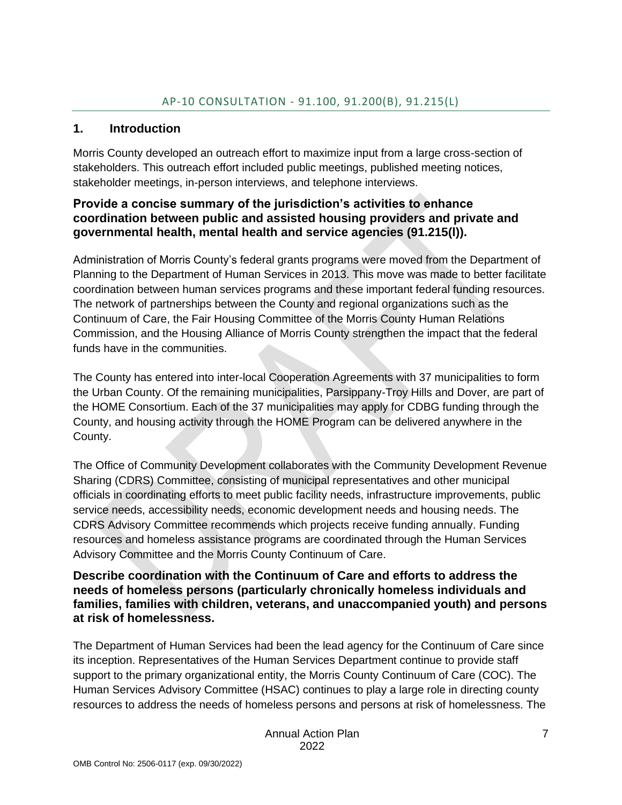#### <span id="page-7-0"></span>**1. Introduction**

Morris County developed an outreach effort to maximize input from a large cross-section of stakeholders. This outreach effort included public meetings, published meeting notices, stakeholder meetings, in-person interviews, and telephone interviews.

#### **Provide a concise summary of the jurisdiction's activities to enhance coordination between public and assisted housing providers and private and governmental health, mental health and service agencies (91.215(l)).**

Administration of Morris County's federal grants programs were moved from the Department of Planning to the Department of Human Services in 2013. This move was made to better facilitate coordination between human services programs and these important federal funding resources. The network of partnerships between the County and regional organizations such as the Continuum of Care, the Fair Housing Committee of the Morris County Human Relations Commission, and the Housing Alliance of Morris County strengthen the impact that the federal funds have in the communities.

The County has entered into inter-local Cooperation Agreements with 37 municipalities to form the Urban County. Of the remaining municipalities, Parsippany-Troy Hills and Dover, are part of the HOME Consortium. Each of the 37 municipalities may apply for CDBG funding through the County, and housing activity through the HOME Program can be delivered anywhere in the County.

The Office of Community Development collaborates with the Community Development Revenue Sharing (CDRS) Committee, consisting of municipal representatives and other municipal officials in coordinating efforts to meet public facility needs, infrastructure improvements, public service needs, accessibility needs, economic development needs and housing needs. The CDRS Advisory Committee recommends which projects receive funding annually. Funding resources and homeless assistance programs are coordinated through the Human Services Advisory Committee and the Morris County Continuum of Care.

#### **Describe coordination with the Continuum of Care and efforts to address the needs of homeless persons (particularly chronically homeless individuals and families, families with children, veterans, and unaccompanied youth) and persons at risk of homelessness.**

The Department of Human Services had been the lead agency for the Continuum of Care since its inception. Representatives of the Human Services Department continue to provide staff support to the primary organizational entity, the Morris County Continuum of Care (COC). The Human Services Advisory Committee (HSAC) continues to play a large role in directing county resources to address the needs of homeless persons and persons at risk of homelessness. The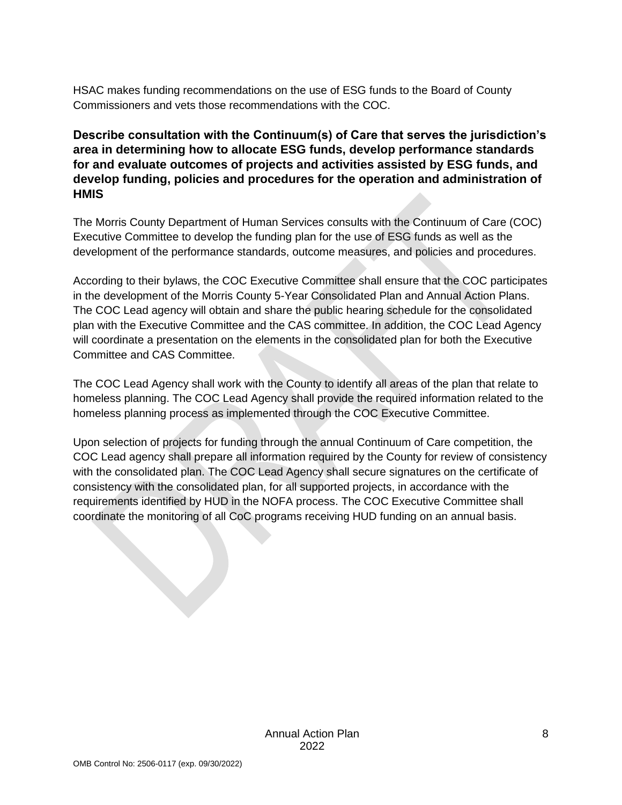HSAC makes funding recommendations on the use of ESG funds to the Board of County Commissioners and vets those recommendations with the COC.

### **Describe consultation with the Continuum(s) of Care that serves the jurisdiction's area in determining how to allocate ESG funds, develop performance standards for and evaluate outcomes of projects and activities assisted by ESG funds, and develop funding, policies and procedures for the operation and administration of HMIS**

The Morris County Department of Human Services consults with the Continuum of Care (COC) Executive Committee to develop the funding plan for the use of ESG funds as well as the development of the performance standards, outcome measures, and policies and procedures.

According to their bylaws, the COC Executive Committee shall ensure that the COC participates in the development of the Morris County 5-Year Consolidated Plan and Annual Action Plans. The COC Lead agency will obtain and share the public hearing schedule for the consolidated plan with the Executive Committee and the CAS committee. In addition, the COC Lead Agency will coordinate a presentation on the elements in the consolidated plan for both the Executive Committee and CAS Committee.

The COC Lead Agency shall work with the County to identify all areas of the plan that relate to homeless planning. The COC Lead Agency shall provide the required information related to the homeless planning process as implemented through the COC Executive Committee.

Upon selection of projects for funding through the annual Continuum of Care competition, the COC Lead agency shall prepare all information required by the County for review of consistency with the consolidated plan. The COC Lead Agency shall secure signatures on the certificate of consistency with the consolidated plan, for all supported projects, in accordance with the requirements identified by HUD in the NOFA process. The COC Executive Committee shall coordinate the monitoring of all CoC programs receiving HUD funding on an annual basis.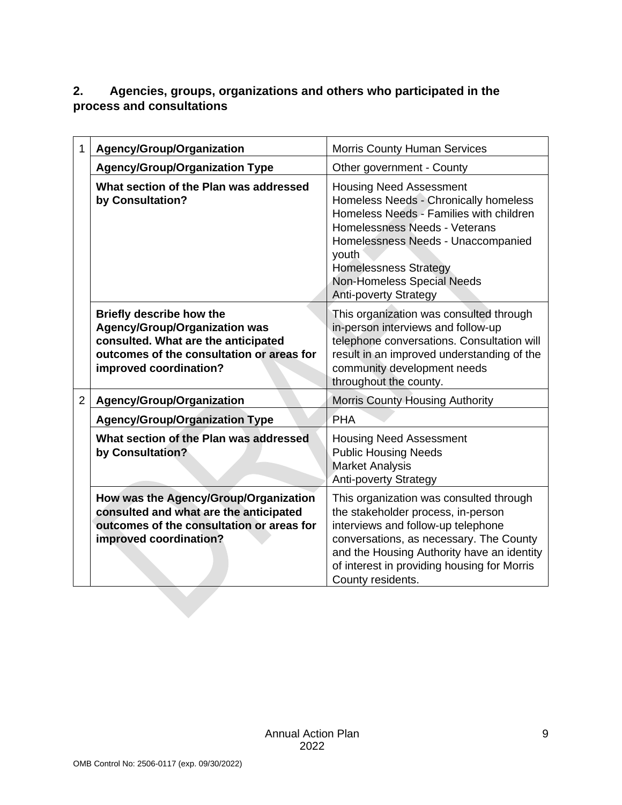## **2. Agencies, groups, organizations and others who participated in the process and consultations**

| 1              | Agency/Group/Organization                                                                                                                                                             | <b>Morris County Human Services</b>                                                                                                                                                                                                                                                              |
|----------------|---------------------------------------------------------------------------------------------------------------------------------------------------------------------------------------|--------------------------------------------------------------------------------------------------------------------------------------------------------------------------------------------------------------------------------------------------------------------------------------------------|
|                | <b>Agency/Group/Organization Type</b>                                                                                                                                                 | Other government - County                                                                                                                                                                                                                                                                        |
|                | What section of the Plan was addressed<br>by Consultation?                                                                                                                            | <b>Housing Need Assessment</b><br>Homeless Needs - Chronically homeless<br>Homeless Needs - Families with children<br>Homelessness Needs - Veterans<br>Homelessness Needs - Unaccompanied<br>youth<br><b>Homelessness Strategy</b><br>Non-Homeless Special Needs<br><b>Anti-poverty Strategy</b> |
|                | <b>Briefly describe how the</b><br><b>Agency/Group/Organization was</b><br>consulted. What are the anticipated<br>outcomes of the consultation or areas for<br>improved coordination? | This organization was consulted through<br>in-person interviews and follow-up<br>telephone conversations. Consultation will<br>result in an improved understanding of the<br>community development needs<br>throughout the county.                                                               |
| $\overline{2}$ | Agency/Group/Organization                                                                                                                                                             | <b>Morris County Housing Authority</b>                                                                                                                                                                                                                                                           |
|                | <b>Agency/Group/Organization Type</b>                                                                                                                                                 | PHA                                                                                                                                                                                                                                                                                              |
|                | What section of the Plan was addressed<br>by Consultation?                                                                                                                            | <b>Housing Need Assessment</b><br><b>Public Housing Needs</b><br><b>Market Analysis</b><br><b>Anti-poverty Strategy</b>                                                                                                                                                                          |
|                | How was the Agency/Group/Organization<br>consulted and what are the anticipated<br>outcomes of the consultation or areas for<br>improved coordination?                                | This organization was consulted through<br>the stakeholder process, in-person<br>interviews and follow-up telephone<br>conversations, as necessary. The County<br>and the Housing Authority have an identity<br>of interest in providing housing for Morris<br>County residents.                 |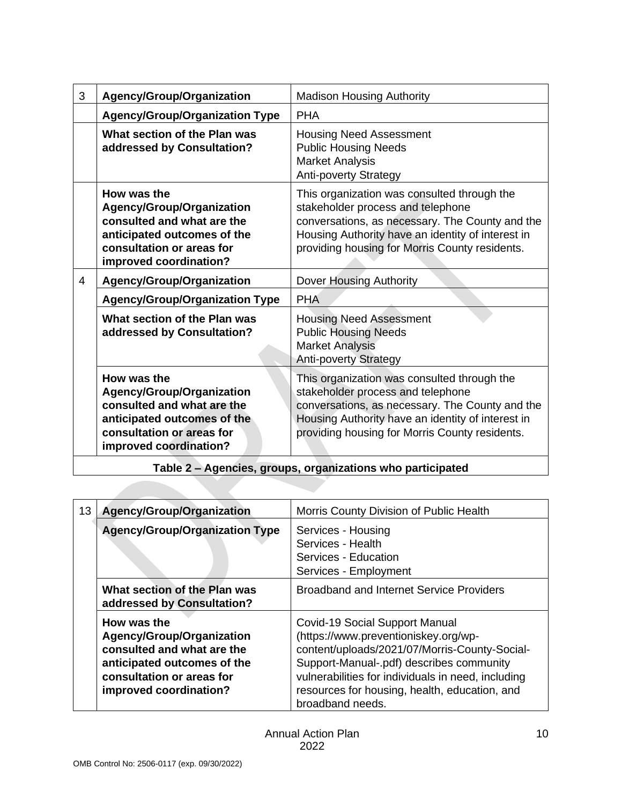| 3 | Agency/Group/Organization                                                                                                                                           | <b>Madison Housing Authority</b>                                                                                                                                                                                                           |
|---|---------------------------------------------------------------------------------------------------------------------------------------------------------------------|--------------------------------------------------------------------------------------------------------------------------------------------------------------------------------------------------------------------------------------------|
|   | <b>Agency/Group/Organization Type</b>                                                                                                                               | <b>PHA</b>                                                                                                                                                                                                                                 |
|   | What section of the Plan was<br>addressed by Consultation?                                                                                                          | <b>Housing Need Assessment</b><br><b>Public Housing Needs</b><br><b>Market Analysis</b><br><b>Anti-poverty Strategy</b>                                                                                                                    |
|   | How was the<br><b>Agency/Group/Organization</b><br>consulted and what are the<br>anticipated outcomes of the<br>consultation or areas for<br>improved coordination? | This organization was consulted through the<br>stakeholder process and telephone<br>conversations, as necessary. The County and the<br>Housing Authority have an identity of interest in<br>providing housing for Morris County residents. |
| 4 | Agency/Group/Organization                                                                                                                                           | <b>Dover Housing Authority</b>                                                                                                                                                                                                             |
|   | <b>Agency/Group/Organization Type</b>                                                                                                                               | <b>PHA</b>                                                                                                                                                                                                                                 |
|   | What section of the Plan was<br>addressed by Consultation?                                                                                                          | <b>Housing Need Assessment</b><br><b>Public Housing Needs</b><br><b>Market Analysis</b><br><b>Anti-poverty Strategy</b>                                                                                                                    |
|   | How was the<br><b>Agency/Group/Organization</b><br>consulted and what are the<br>anticipated outcomes of the<br>consultation or areas for<br>improved coordination? | This organization was consulted through the<br>stakeholder process and telephone<br>conversations, as necessary. The County and the<br>Housing Authority have an identity of interest in<br>providing housing for Morris County residents. |
|   |                                                                                                                                                                     |                                                                                                                                                                                                                                            |

**Table 2 – Agencies, groups, organizations who participated**

| 13 | <b>Agency/Group/Organization</b>                                                                                                                             | Morris County Division of Public Health                                                                                                                                                                                                                                                               |
|----|--------------------------------------------------------------------------------------------------------------------------------------------------------------|-------------------------------------------------------------------------------------------------------------------------------------------------------------------------------------------------------------------------------------------------------------------------------------------------------|
|    | <b>Agency/Group/Organization Type</b>                                                                                                                        | Services - Housing<br>Services - Health<br>Services - Education<br>Services - Employment                                                                                                                                                                                                              |
|    | What section of the Plan was<br>addressed by Consultation?                                                                                                   | <b>Broadband and Internet Service Providers</b>                                                                                                                                                                                                                                                       |
|    | How was the<br>Agency/Group/Organization<br>consulted and what are the<br>anticipated outcomes of the<br>consultation or areas for<br>improved coordination? | <b>Covid-19 Social Support Manual</b><br>(https://www.preventioniskey.org/wp-<br>content/uploads/2021/07/Morris-County-Social-<br>Support-Manual-.pdf) describes community<br>vulnerabilities for individuals in need, including<br>resources for housing, health, education, and<br>broadband needs. |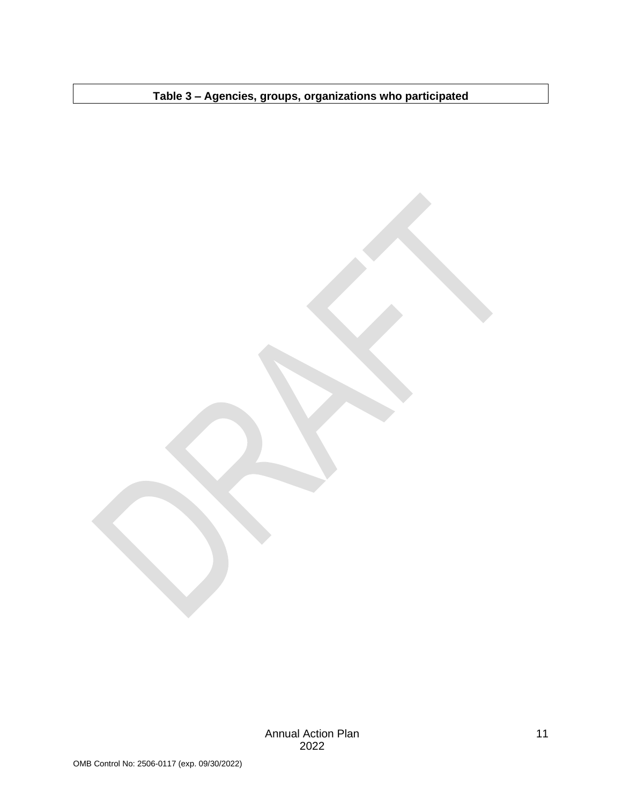**Table 3 – Agencies, groups, organizations who participated**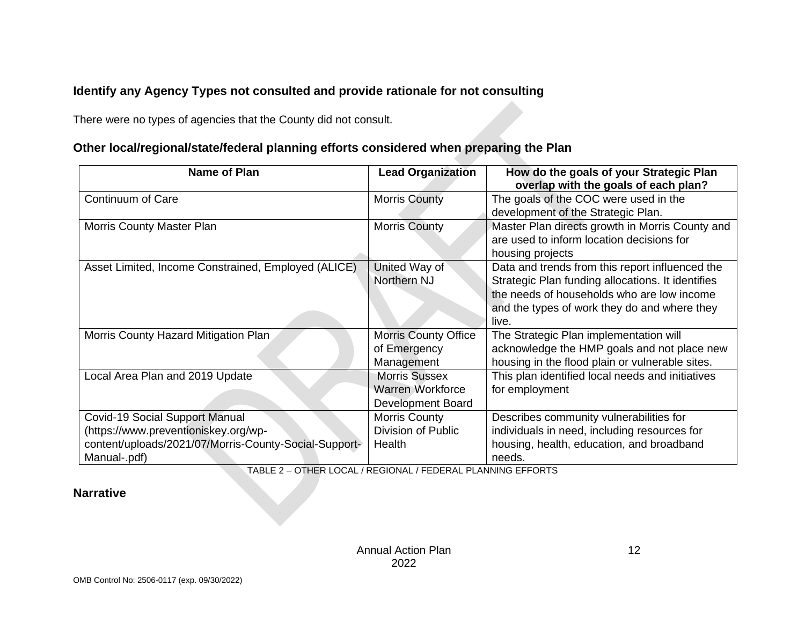## **Identify any Agency Types not consulted and provide rationale for not consulting**

There were no types of agencies that the County did not consult.

## **Other local/regional/state/federal planning efforts considered when preparing the Plan**

| <b>Name of Plan</b>                                                                                                                                    | <b>Lead Organization</b>                                                    | How do the goals of your Strategic Plan<br>overlap with the goals of each plan?                                                                                                                             |
|--------------------------------------------------------------------------------------------------------------------------------------------------------|-----------------------------------------------------------------------------|-------------------------------------------------------------------------------------------------------------------------------------------------------------------------------------------------------------|
| Continuum of Care                                                                                                                                      | <b>Morris County</b>                                                        | The goals of the COC were used in the<br>development of the Strategic Plan.                                                                                                                                 |
| <b>Morris County Master Plan</b>                                                                                                                       | <b>Morris County</b>                                                        | Master Plan directs growth in Morris County and<br>are used to inform location decisions for<br>housing projects                                                                                            |
| Asset Limited, Income Constrained, Employed (ALICE)                                                                                                    | United Way of<br>Northern NJ                                                | Data and trends from this report influenced the<br>Strategic Plan funding allocations. It identifies<br>the needs of households who are low income<br>and the types of work they do and where they<br>live. |
| Morris County Hazard Mitigation Plan                                                                                                                   | <b>Morris County Office</b><br>of Emergency<br>Management                   | The Strategic Plan implementation will<br>acknowledge the HMP goals and not place new<br>housing in the flood plain or vulnerable sites.                                                                    |
| Local Area Plan and 2019 Update                                                                                                                        | <b>Morris Sussex</b><br><b>Warren Workforce</b><br><b>Development Board</b> | This plan identified local needs and initiatives<br>for employment                                                                                                                                          |
| <b>Covid-19 Social Support Manual</b><br>(https://www.preventioniskey.org/wp-<br>content/uploads/2021/07/Morris-County-Social-Support-<br>Manual-.pdf) | <b>Morris County</b><br>Division of Public<br>Health                        | Describes community vulnerabilities for<br>individuals in need, including resources for<br>housing, health, education, and broadband<br>needs.                                                              |

TABLE 2 – OTHER LOCAL / REGIONAL / FEDERAL PLANNING EFFORTS

#### <span id="page-12-0"></span>**Narrative**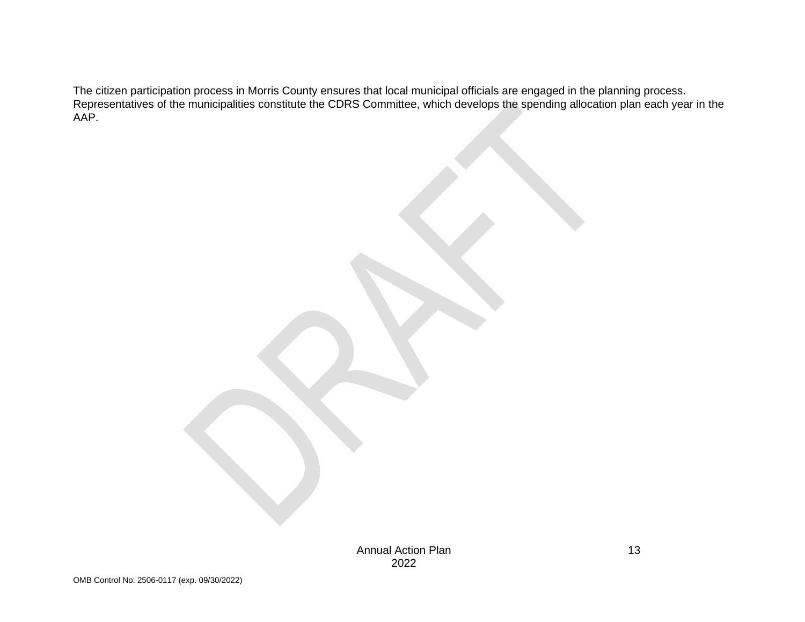The citizen participation process in Morris County ensures that local municipal officials are engaged in the planning process. Representatives of the municipalities constitute the CDRS Committee, which develops the spending allocation plan each year in the AAP.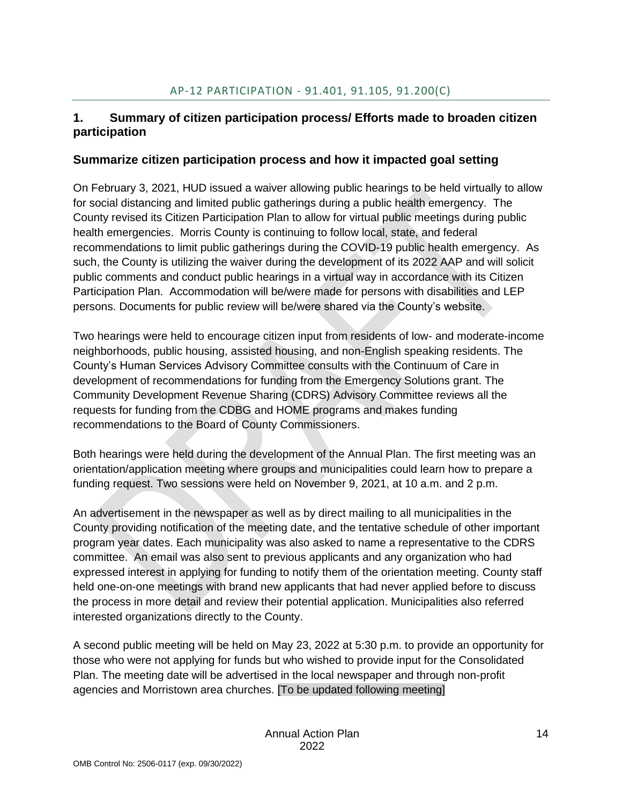## <span id="page-14-0"></span>**1. Summary of citizen participation process/ Efforts made to broaden citizen participation**

#### **Summarize citizen participation process and how it impacted goal setting**

On February 3, 2021, HUD issued a waiver allowing public hearings to be held virtually to allow for social distancing and limited public gatherings during a public health emergency. The County revised its Citizen Participation Plan to allow for virtual public meetings during public health emergencies. Morris County is continuing to follow local, state, and federal recommendations to limit public gatherings during the COVID-19 public health emergency. As such, the County is utilizing the waiver during the development of its 2022 AAP and will solicit public comments and conduct public hearings in a virtual way in accordance with its Citizen Participation Plan. Accommodation will be/were made for persons with disabilities and LEP persons. Documents for public review will be/were shared via the County's website.

Two hearings were held to encourage citizen input from residents of low- and moderate-income neighborhoods, public housing, assisted housing, and non-English speaking residents. The County's Human Services Advisory Committee consults with the Continuum of Care in development of recommendations for funding from the Emergency Solutions grant. The Community Development Revenue Sharing (CDRS) Advisory Committee reviews all the requests for funding from the CDBG and HOME programs and makes funding recommendations to the Board of County Commissioners.

Both hearings were held during the development of the Annual Plan. The first meeting was an orientation/application meeting where groups and municipalities could learn how to prepare a funding request. Two sessions were held on November 9, 2021, at 10 a.m. and 2 p.m.

An advertisement in the newspaper as well as by direct mailing to all municipalities in the County providing notification of the meeting date, and the tentative schedule of other important program year dates. Each municipality was also asked to name a representative to the CDRS committee. An email was also sent to previous applicants and any organization who had expressed interest in applying for funding to notify them of the orientation meeting. County staff held one-on-one meetings with brand new applicants that had never applied before to discuss the process in more detail and review their potential application. Municipalities also referred interested organizations directly to the County.

A second public meeting will be held on May 23, 2022 at 5:30 p.m. to provide an opportunity for those who were not applying for funds but who wished to provide input for the Consolidated Plan. The meeting date will be advertised in the local newspaper and through non-profit agencies and Morristown area churches. [To be updated following meeting]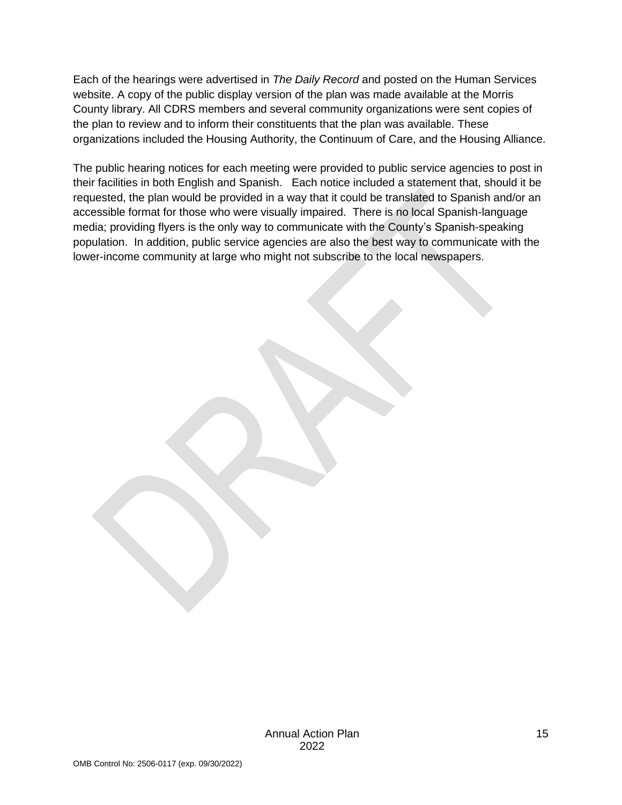Each of the hearings were advertised in *The Daily Record* and posted on the Human Services website. A copy of the public display version of the plan was made available at the Morris County library. All CDRS members and several community organizations were sent copies of the plan to review and to inform their constituents that the plan was available. These organizations included the Housing Authority, the Continuum of Care, and the Housing Alliance.

The public hearing notices for each meeting were provided to public service agencies to post in their facilities in both English and Spanish. Each notice included a statement that, should it be requested, the plan would be provided in a way that it could be translated to Spanish and/or an accessible format for those who were visually impaired. There is no local Spanish-language media; providing flyers is the only way to communicate with the County's Spanish-speaking population. In addition, public service agencies are also the best way to communicate with the lower-income community at large who might not subscribe to the local newspapers.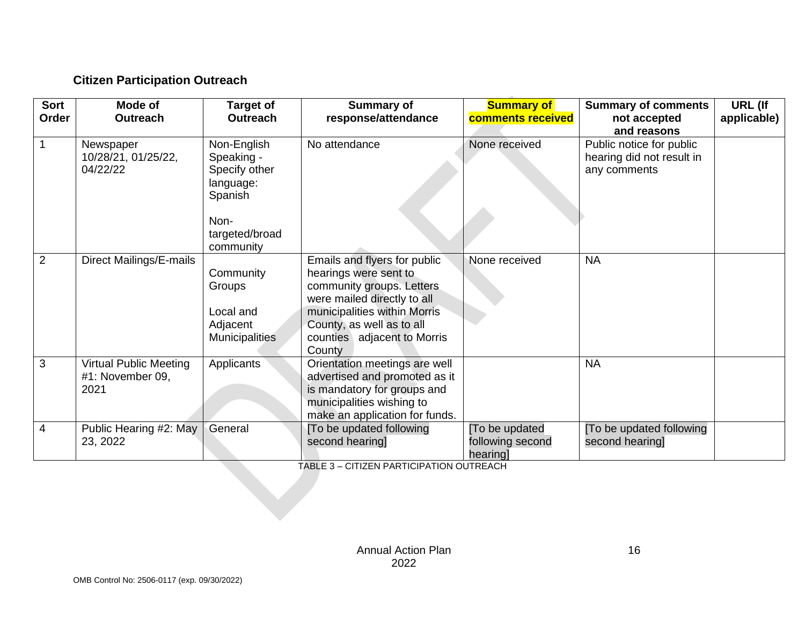## **Citizen Participation Outreach**

| Sort<br>Order  | Mode of<br><b>Outreach</b>                                | <b>Target of</b><br><b>Outreach</b>                                        | <b>Summary of</b><br>response/attendance                                                                                                                                                                                | <b>Summary of</b><br>comments received         | <b>Summary of comments</b><br>not accepted<br>and reasons             | URL (If<br>applicable) |
|----------------|-----------------------------------------------------------|----------------------------------------------------------------------------|-------------------------------------------------------------------------------------------------------------------------------------------------------------------------------------------------------------------------|------------------------------------------------|-----------------------------------------------------------------------|------------------------|
|                | Newspaper<br>10/28/21, 01/25/22,<br>04/22/22              | Non-English<br>Speaking -<br>Specify other<br>language:<br>Spanish<br>Non- | No attendance                                                                                                                                                                                                           | None received                                  | Public notice for public<br>hearing did not result in<br>any comments |                        |
|                |                                                           | targeted/broad<br>community                                                |                                                                                                                                                                                                                         |                                                |                                                                       |                        |
| $\overline{2}$ | Direct Mailings/E-mails                                   | Community<br>Groups<br>Local and<br>Adjacent<br><b>Municipalities</b>      | Emails and flyers for public<br>hearings were sent to<br>community groups. Letters<br>were mailed directly to all<br>municipalities within Morris<br>County, as well as to all<br>counties adjacent to Morris<br>County | None received                                  | <b>NA</b>                                                             |                        |
| 3              | <b>Virtual Public Meeting</b><br>#1: November 09,<br>2021 | Applicants                                                                 | Orientation meetings are well<br>advertised and promoted as it<br>is mandatory for groups and<br>municipalities wishing to<br>make an application for funds.                                                            |                                                | <b>NA</b>                                                             |                        |
| 4              | Public Hearing #2: May<br>23, 2022                        | General                                                                    | [To be updated following<br>second hearing]                                                                                                                                                                             | [To be updated<br>following second<br>hearing] | [To be updated following<br>second hearing]                           |                        |

<span id="page-16-0"></span>TABLE 3 – CITIZEN PARTICIPATION OUTREACH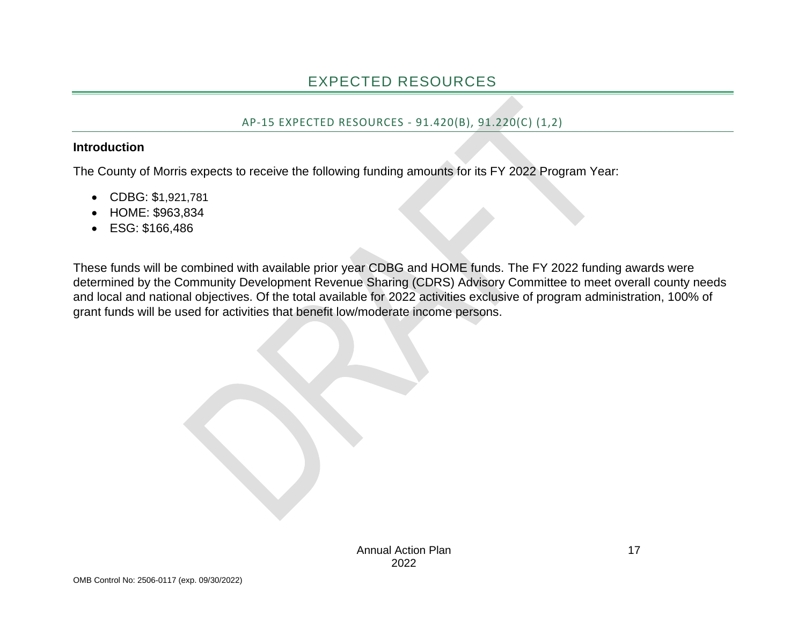### AP-15 EXPECTED RESOURCES - 91.420(B), 91.220(C) (1,2)

#### **Introduction**

The County of Morris expects to receive the following funding amounts for its FY 2022 Program Year:

- CDBG: \$1,921,781
- HOME: \$963,834
- ESG: \$166,486

<span id="page-17-1"></span><span id="page-17-0"></span>These funds will be combined with available prior year CDBG and HOME funds. The FY 2022 funding awards were determined by the Community Development Revenue Sharing (CDRS) Advisory Committee to meet overall county needs and local and national objectives. Of the total available for 2022 activities exclusive of program administration, 100% of grant funds will be used for activities that benefit low/moderate income persons.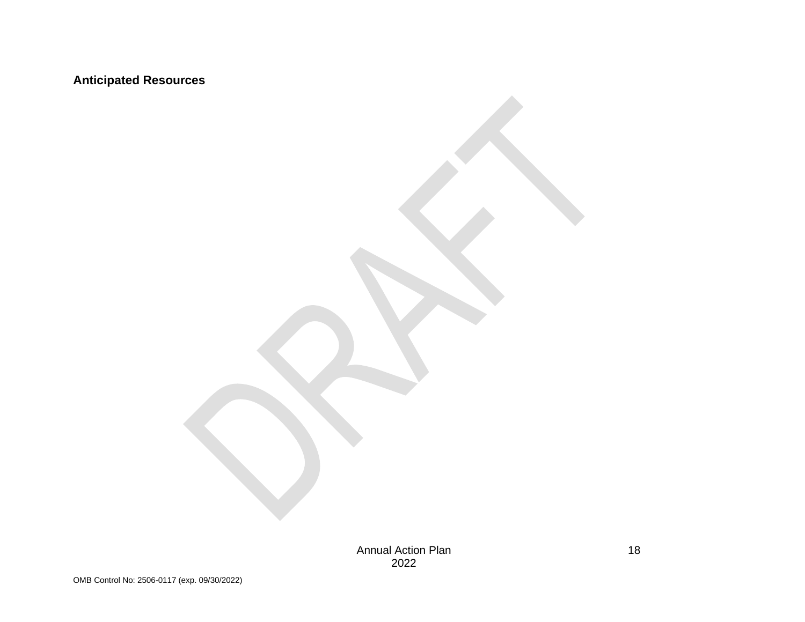## **Anticipated Resources**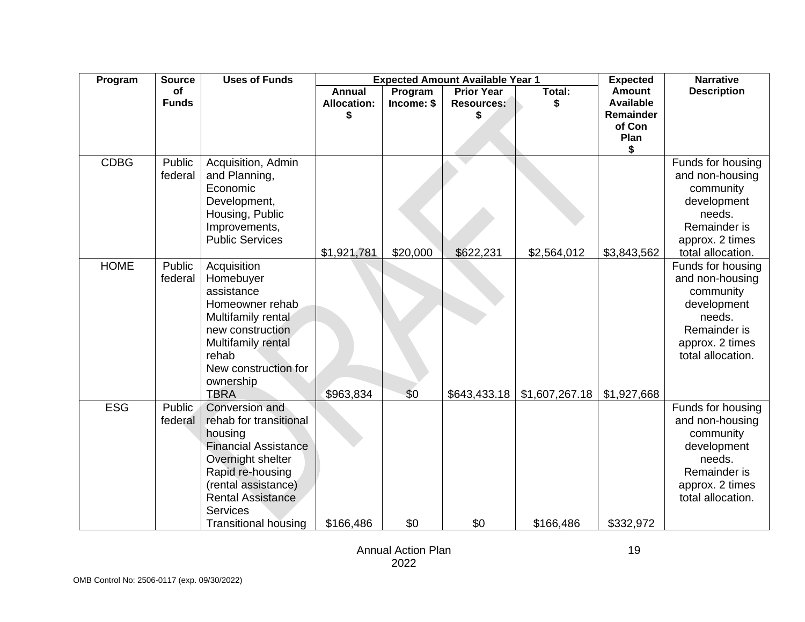| Program     | <b>Source</b> | <b>Uses of Funds</b>        | <b>Expected Amount Available Year 1</b> |            |                   | <b>Expected</b> | <b>Narrative</b>    |                    |
|-------------|---------------|-----------------------------|-----------------------------------------|------------|-------------------|-----------------|---------------------|--------------------|
|             | of            |                             | <b>Annual</b>                           | Program    | <b>Prior Year</b> | Total:          | <b>Amount</b>       | <b>Description</b> |
|             | <b>Funds</b>  |                             | <b>Allocation:</b>                      | Income: \$ | <b>Resources:</b> |                 | <b>Available</b>    |                    |
|             |               |                             |                                         |            |                   |                 | Remainder<br>of Con |                    |
|             |               |                             |                                         |            |                   |                 | Plan                |                    |
|             |               |                             |                                         |            |                   |                 | \$                  |                    |
| <b>CDBG</b> | Public        | Acquisition, Admin          |                                         |            |                   |                 |                     | Funds for housing  |
|             | federal       | and Planning,               |                                         |            |                   |                 |                     | and non-housing    |
|             |               | Economic                    |                                         |            |                   |                 |                     | community          |
|             |               | Development,                |                                         |            |                   |                 |                     | development        |
|             |               | Housing, Public             |                                         |            |                   |                 |                     | needs.             |
|             |               | Improvements,               |                                         |            |                   |                 |                     | Remainder is       |
|             |               | <b>Public Services</b>      |                                         |            |                   |                 |                     | approx. 2 times    |
|             |               |                             | \$1,921,781                             | \$20,000   | \$622,231         | \$2,564,012     | \$3,843,562         | total allocation.  |
| <b>HOME</b> | Public        | Acquisition                 |                                         |            |                   |                 |                     | Funds for housing  |
|             | federal       | Homebuyer                   |                                         |            |                   |                 |                     | and non-housing    |
|             |               | assistance                  |                                         |            |                   |                 |                     | community          |
|             |               | Homeowner rehab             |                                         |            |                   |                 |                     | development        |
|             |               | Multifamily rental          |                                         |            |                   |                 |                     | needs.             |
|             |               | new construction            |                                         |            |                   |                 |                     | Remainder is       |
|             |               | Multifamily rental          |                                         |            |                   |                 |                     | approx. 2 times    |
|             |               | rehab                       |                                         |            |                   |                 |                     | total allocation.  |
|             |               | New construction for        |                                         |            |                   |                 |                     |                    |
|             |               | ownership<br><b>TBRA</b>    |                                         |            |                   |                 |                     |                    |
| <b>ESG</b>  | Public        | Conversion and              | \$963,834                               | \$0        | \$643,433.18      | \$1,607,267.18  | \$1,927,668         | Funds for housing  |
|             | federal       | rehab for transitional      |                                         |            |                   |                 |                     | and non-housing    |
|             |               | housing                     |                                         |            |                   |                 |                     | community          |
|             |               | <b>Financial Assistance</b> |                                         |            |                   |                 |                     | development        |
|             |               | Overnight shelter           |                                         |            |                   |                 |                     | needs.             |
|             |               | Rapid re-housing            |                                         |            |                   |                 |                     | Remainder is       |
|             |               | (rental assistance)         |                                         |            |                   |                 |                     | approx. 2 times    |
|             |               | <b>Rental Assistance</b>    |                                         |            |                   |                 |                     | total allocation.  |
|             |               | <b>Services</b>             |                                         |            |                   |                 |                     |                    |
|             |               | <b>Transitional housing</b> | \$166,486                               | \$0        | \$0               | \$166,486       | \$332,972           |                    |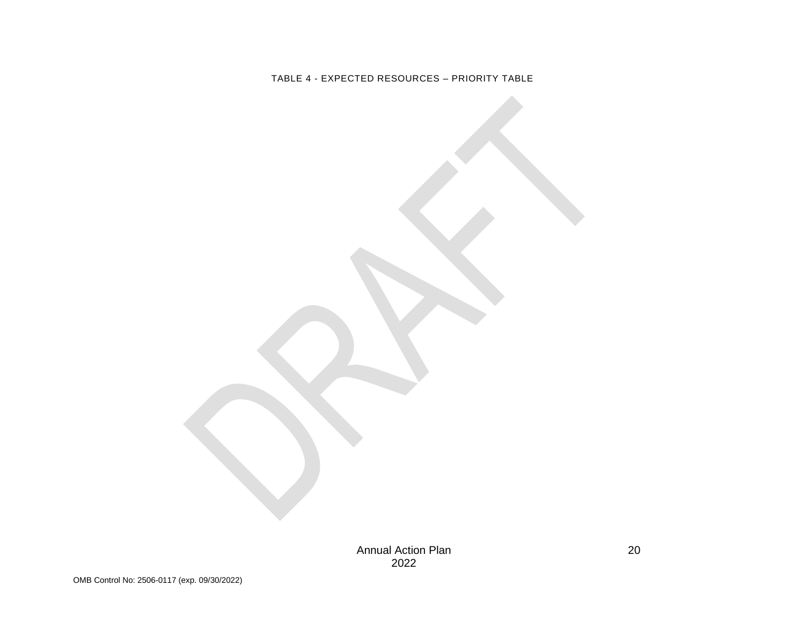<span id="page-20-0"></span>TABLE 4 - EXPECTED RESOURCES – PRIORITY TABLE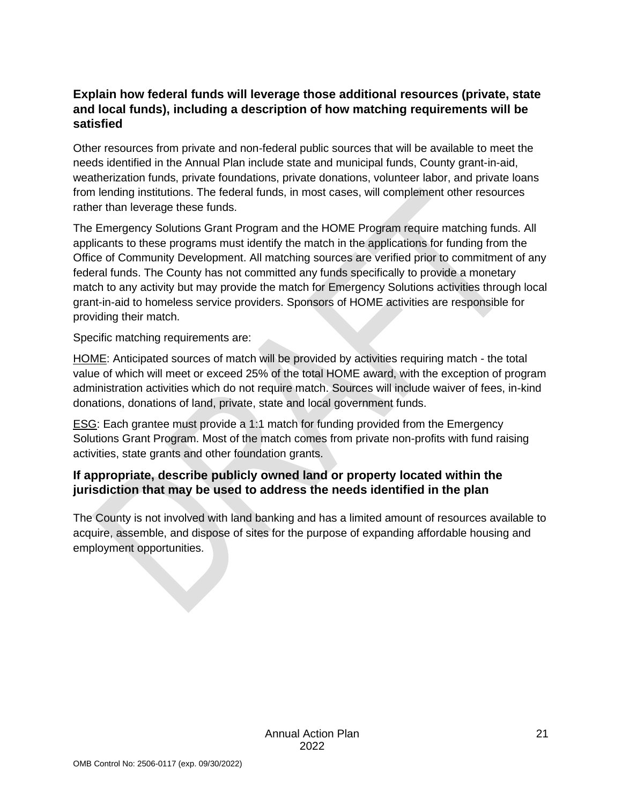### **Explain how federal funds will leverage those additional resources (private, state and local funds), including a description of how matching requirements will be satisfied**

Other resources from private and non-federal public sources that will be available to meet the needs identified in the Annual Plan include state and municipal funds, County grant-in-aid, weatherization funds, private foundations, private donations, volunteer labor, and private loans from lending institutions. The federal funds, in most cases, will complement other resources rather than leverage these funds.

The Emergency Solutions Grant Program and the HOME Program require matching funds. All applicants to these programs must identify the match in the applications for funding from the Office of Community Development. All matching sources are verified prior to commitment of any federal funds. The County has not committed any funds specifically to provide a monetary match to any activity but may provide the match for Emergency Solutions activities through local grant-in-aid to homeless service providers. Sponsors of HOME activities are responsible for providing their match.

Specific matching requirements are:

HOME: Anticipated sources of match will be provided by activities requiring match - the total value of which will meet or exceed 25% of the total HOME award, with the exception of program administration activities which do not require match. Sources will include waiver of fees, in-kind donations, donations of land, private, state and local government funds.

**ESG:** Each grantee must provide a 1:1 match for funding provided from the Emergency Solutions Grant Program. Most of the match comes from private non-profits with fund raising activities, state grants and other foundation grants.

### **If appropriate, describe publicly owned land or property located within the jurisdiction that may be used to address the needs identified in the plan**

The County is not involved with land banking and has a limited amount of resources available to acquire, assemble, and dispose of sites for the purpose of expanding affordable housing and employment opportunities.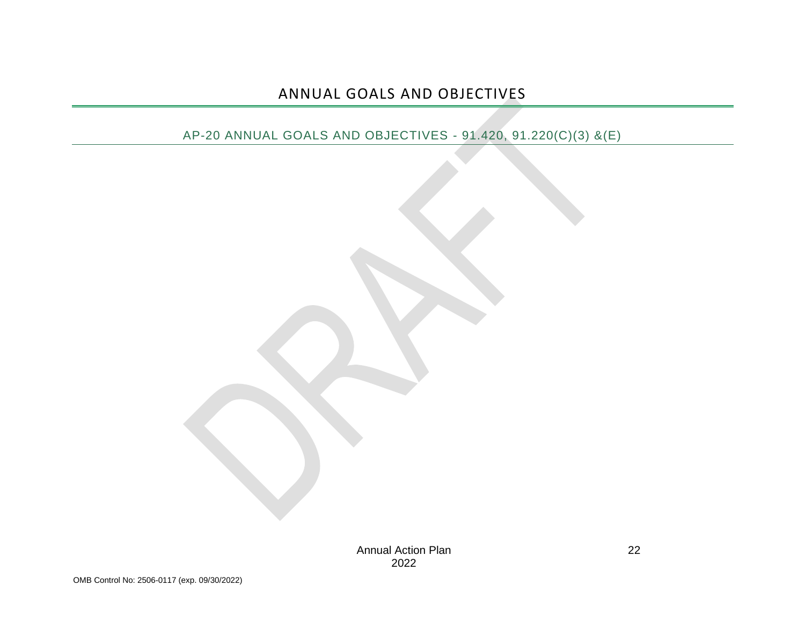## ANNUAL GOALS AND OBJECTIVES

## <span id="page-22-1"></span><span id="page-22-0"></span>AP-20 ANNUAL GOALS AND OBJECTIVES - 91.420, 91.220(C)(3) &(E)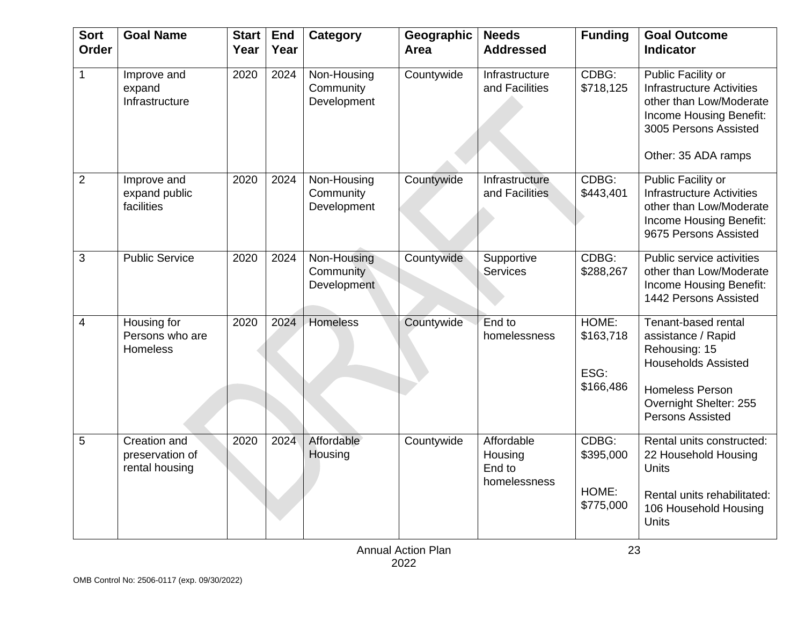| <b>Sort</b><br><b>Order</b> | <b>Goal Name</b>                                  | <b>Start</b><br>Year | <b>End</b><br>Year | <b>Category</b>                         | Geographic<br>Area | <b>Needs</b><br><b>Addressed</b>                | <b>Funding</b>                           | <b>Goal Outcome</b><br><b>Indicator</b>                                                                                                                                 |
|-----------------------------|---------------------------------------------------|----------------------|--------------------|-----------------------------------------|--------------------|-------------------------------------------------|------------------------------------------|-------------------------------------------------------------------------------------------------------------------------------------------------------------------------|
| $\mathbf{1}$                | Improve and<br>expand<br>Infrastructure           | 2020                 | 2024               | Non-Housing<br>Community<br>Development | Countywide         | Infrastructure<br>and Facilities                | CDBG:<br>\$718,125                       | <b>Public Facility or</b><br><b>Infrastructure Activities</b><br>other than Low/Moderate<br>Income Housing Benefit:<br>3005 Persons Assisted<br>Other: 35 ADA ramps     |
| $\overline{2}$              | Improve and<br>expand public<br>facilities        | 2020                 | 2024               | Non-Housing<br>Community<br>Development | Countywide         | <b>Infrastructure</b><br>and Facilities         | CDBG:<br>\$443,401                       | Public Facility or<br><b>Infrastructure Activities</b><br>other than Low/Moderate<br>Income Housing Benefit:<br>9675 Persons Assisted                                   |
| 3                           | <b>Public Service</b>                             | 2020                 | 2024               | Non-Housing<br>Community<br>Development | Countywide         | Supportive<br><b>Services</b>                   | CDBG:<br>\$288,267                       | Public service activities<br>other than Low/Moderate<br>Income Housing Benefit:<br>1442 Persons Assisted                                                                |
| 4                           | Housing for<br>Persons who are<br>Homeless        | 2020                 | 2024               | Homeless                                | Countywide         | End to<br>homelessness                          | HOME:<br>\$163,718<br>ESG:<br>\$166,486  | Tenant-based rental<br>assistance / Rapid<br>Rehousing: 15<br><b>Households Assisted</b><br><b>Homeless Person</b><br>Overnight Shelter: 255<br><b>Persons Assisted</b> |
| 5                           | Creation and<br>preservation of<br>rental housing | 2020                 | 2024               | Affordable<br>Housing                   | Countywide         | Affordable<br>Housing<br>End to<br>homelessness | CDBG:<br>\$395,000<br>HOME:<br>\$775,000 | Rental units constructed:<br>22 Household Housing<br>Units<br>Rental units rehabilitated:<br>106 Household Housing<br><b>Units</b>                                      |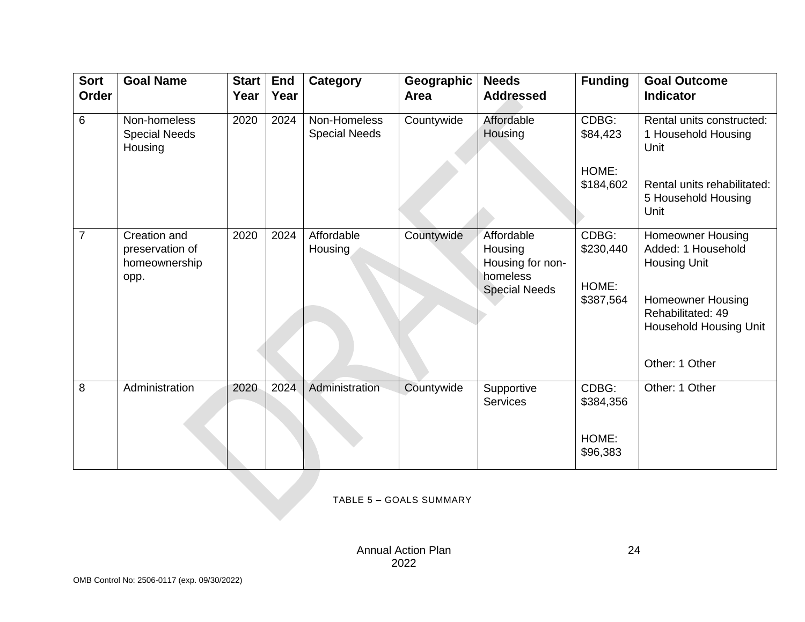| <b>Sort</b><br>Order | <b>Goal Name</b>                                         | <b>Start</b><br>Year | <b>End</b><br>Year | Category                             | Geographic<br>Area | <b>Needs</b><br><b>Addressed</b>                                              | <b>Funding</b>              | <b>Goal Outcome</b><br><b>Indicator</b>                                        |
|----------------------|----------------------------------------------------------|----------------------|--------------------|--------------------------------------|--------------------|-------------------------------------------------------------------------------|-----------------------------|--------------------------------------------------------------------------------|
| 6                    | Non-homeless<br><b>Special Needs</b><br>Housing          | 2020                 | 2024               | Non-Homeless<br><b>Special Needs</b> | Countywide         | Affordable<br>Housing                                                         | CDBG:<br>\$84,423           | Rental units constructed:<br>1 Household Housing<br>Unit                       |
|                      |                                                          |                      |                    |                                      |                    |                                                                               | HOME:<br>\$184,602          | Rental units rehabilitated:<br>5 Household Housing<br>Unit                     |
| $\overline{7}$       | Creation and<br>preservation of<br>homeownership<br>opp. | 2020                 | 2024               | Affordable<br>Housing                | Countywide         | Affordable<br>Housing<br>Housing for non-<br>homeless<br><b>Special Needs</b> | CDBG:<br>\$230,440<br>HOME: | <b>Homeowner Housing</b><br>Added: 1 Household<br>Housing Unit                 |
|                      |                                                          |                      |                    |                                      |                    |                                                                               | \$387,564                   | <b>Homeowner Housing</b><br>Rehabilitated: 49<br><b>Household Housing Unit</b> |
|                      |                                                          |                      |                    |                                      |                    |                                                                               |                             | Other: 1 Other                                                                 |
| 8                    | Administration                                           | 2020                 | 2024               | Administration                       | Countywide         | Supportive<br><b>Services</b>                                                 | CDBG:<br>\$384,356          | Other: 1 Other                                                                 |
|                      |                                                          |                      |                    |                                      |                    |                                                                               | HOME:<br>\$96,383           |                                                                                |
|                      |                                                          |                      |                    |                                      |                    |                                                                               |                             |                                                                                |

<span id="page-24-0"></span>TABLE 5 – GOALS SUMMARY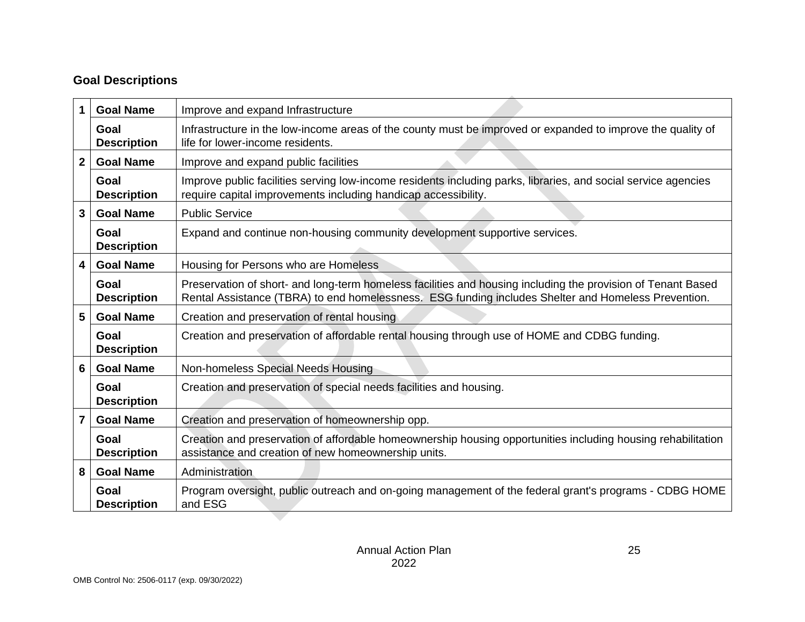## **Goal Descriptions**

| 1                       | <b>Goal Name</b>                          | Improve and expand Infrastructure                                                                                                                                                                                   |  |  |  |  |  |  |
|-------------------------|-------------------------------------------|---------------------------------------------------------------------------------------------------------------------------------------------------------------------------------------------------------------------|--|--|--|--|--|--|
|                         | Goal<br><b>Description</b>                | Infrastructure in the low-income areas of the county must be improved or expanded to improve the quality of<br>life for lower-income residents.                                                                     |  |  |  |  |  |  |
| $\overline{2}$          | <b>Goal Name</b>                          | Improve and expand public facilities                                                                                                                                                                                |  |  |  |  |  |  |
|                         | Goal<br><b>Description</b>                | Improve public facilities serving low-income residents including parks, libraries, and social service agencies<br>require capital improvements including handicap accessibility.                                    |  |  |  |  |  |  |
| 3                       | <b>Goal Name</b><br><b>Public Service</b> |                                                                                                                                                                                                                     |  |  |  |  |  |  |
|                         | Goal<br><b>Description</b>                | Expand and continue non-housing community development supportive services.                                                                                                                                          |  |  |  |  |  |  |
| $\overline{\mathbf{4}}$ | <b>Goal Name</b>                          | Housing for Persons who are Homeless                                                                                                                                                                                |  |  |  |  |  |  |
|                         | Goal<br><b>Description</b>                | Preservation of short- and long-term homeless facilities and housing including the provision of Tenant Based<br>Rental Assistance (TBRA) to end homelessness. ESG funding includes Shelter and Homeless Prevention. |  |  |  |  |  |  |
| 5                       | <b>Goal Name</b>                          | Creation and preservation of rental housing                                                                                                                                                                         |  |  |  |  |  |  |
|                         | Goal<br><b>Description</b>                | Creation and preservation of affordable rental housing through use of HOME and CDBG funding.                                                                                                                        |  |  |  |  |  |  |
| 6                       | <b>Goal Name</b>                          | Non-homeless Special Needs Housing                                                                                                                                                                                  |  |  |  |  |  |  |
|                         | Goal<br><b>Description</b>                | Creation and preservation of special needs facilities and housing.                                                                                                                                                  |  |  |  |  |  |  |
| $\overline{7}$          | <b>Goal Name</b>                          | Creation and preservation of homeownership opp.                                                                                                                                                                     |  |  |  |  |  |  |
|                         | Goal<br><b>Description</b>                | Creation and preservation of affordable homeownership housing opportunities including housing rehabilitation<br>assistance and creation of new homeownership units.                                                 |  |  |  |  |  |  |
| 8                       | <b>Goal Name</b>                          | Administration                                                                                                                                                                                                      |  |  |  |  |  |  |
|                         | Goal<br><b>Description</b>                | Program oversight, public outreach and on-going management of the federal grant's programs - CDBG HOME<br>and ESG                                                                                                   |  |  |  |  |  |  |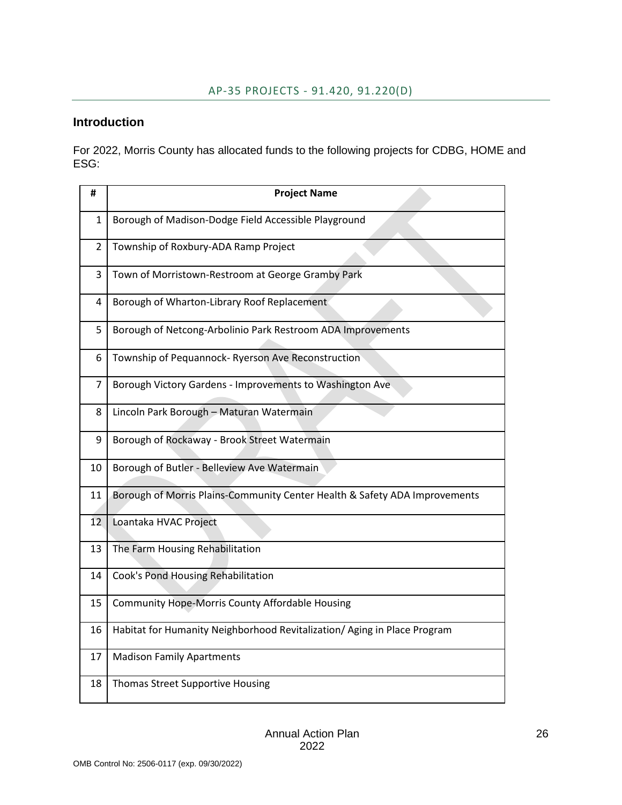## <span id="page-26-0"></span>**Introduction**

For 2022, Morris County has allocated funds to the following projects for CDBG, HOME and ESG:

| #  | <b>Project Name</b>                                                        |
|----|----------------------------------------------------------------------------|
| 1  | Borough of Madison-Dodge Field Accessible Playground                       |
| 2  | Township of Roxbury-ADA Ramp Project                                       |
| 3  | Town of Morristown-Restroom at George Gramby Park                          |
| 4  | Borough of Wharton-Library Roof Replacement                                |
| 5  | Borough of Netcong-Arbolinio Park Restroom ADA Improvements                |
| 6  | Township of Pequannock- Ryerson Ave Reconstruction                         |
| 7  | Borough Victory Gardens - Improvements to Washington Ave                   |
| 8  | Lincoln Park Borough - Maturan Watermain                                   |
| 9  | Borough of Rockaway - Brook Street Watermain                               |
| 10 | Borough of Butler - Belleview Ave Watermain                                |
| 11 | Borough of Morris Plains-Community Center Health & Safety ADA Improvements |
| 12 | Loantaka HVAC Project                                                      |
| 13 | The Farm Housing Rehabilitation                                            |
| 14 | Cook's Pond Housing Rehabilitation                                         |
| 15 | Community Hope-Morris County Affordable Housing                            |
| 16 | Habitat for Humanity Neighborhood Revitalization/ Aging in Place Program   |
| 17 | <b>Madison Family Apartments</b>                                           |
| 18 | <b>Thomas Street Supportive Housing</b>                                    |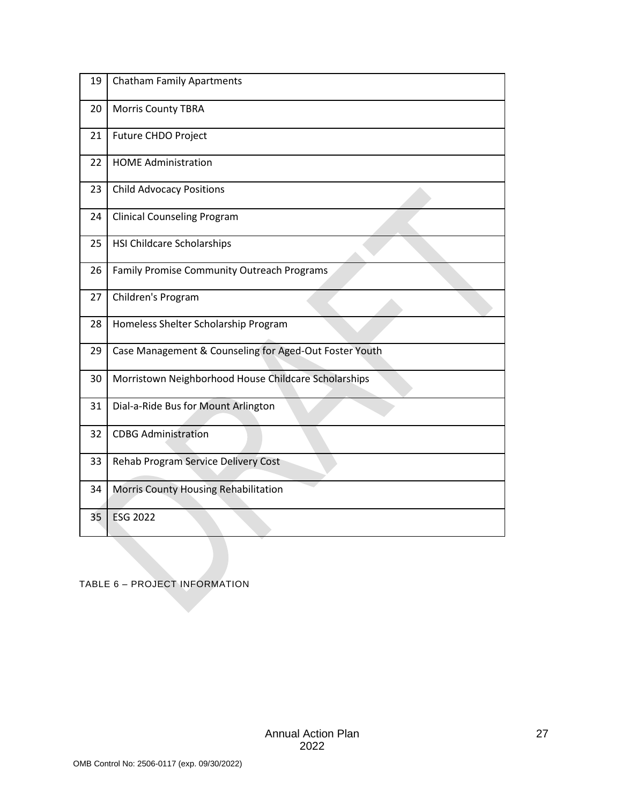| 19 | <b>Chatham Family Apartments</b>                       |
|----|--------------------------------------------------------|
| 20 | <b>Morris County TBRA</b>                              |
| 21 | Future CHDO Project                                    |
| 22 | <b>HOME Administration</b>                             |
| 23 | <b>Child Advocacy Positions</b>                        |
| 24 | <b>Clinical Counseling Program</b>                     |
| 25 | <b>HSI Childcare Scholarships</b>                      |
| 26 | <b>Family Promise Community Outreach Programs</b>      |
| 27 | Children's Program                                     |
| 28 | Homeless Shelter Scholarship Program                   |
| 29 | Case Management & Counseling for Aged-Out Foster Youth |
| 30 | Morristown Neighborhood House Childcare Scholarships   |
| 31 | Dial-a-Ride Bus for Mount Arlington                    |
| 32 | <b>CDBG Administration</b>                             |
| 33 | Rehab Program Service Delivery Cost                    |
| 34 | Morris County Housing Rehabilitation                   |
| 35 | <b>ESG 2022</b>                                        |

<span id="page-27-0"></span>TABLE 6 – PROJECT INFORMATION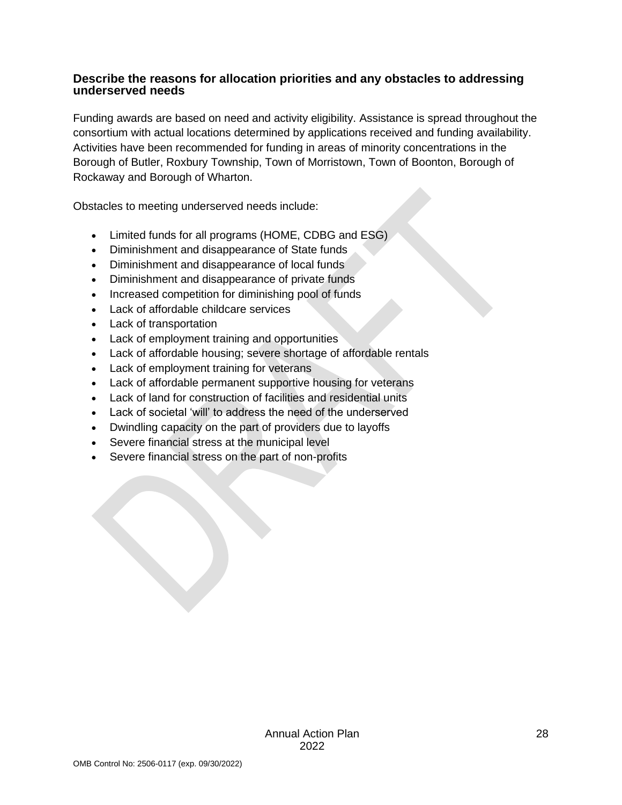#### **Describe the reasons for allocation priorities and any obstacles to addressing underserved needs**

Funding awards are based on need and activity eligibility. Assistance is spread throughout the consortium with actual locations determined by applications received and funding availability. Activities have been recommended for funding in areas of minority concentrations in the Borough of Butler, Roxbury Township, Town of Morristown, Town of Boonton, Borough of Rockaway and Borough of Wharton.

Obstacles to meeting underserved needs include:

- Limited funds for all programs (HOME, CDBG and ESG)
- Diminishment and disappearance of State funds
- Diminishment and disappearance of local funds
- Diminishment and disappearance of private funds
- Increased competition for diminishing pool of funds
- Lack of affordable childcare services
- Lack of transportation
- Lack of employment training and opportunities
- Lack of affordable housing; severe shortage of affordable rentals
- Lack of employment training for veterans
- Lack of affordable permanent supportive housing for veterans
- Lack of land for construction of facilities and residential units
- Lack of societal 'will' to address the need of the underserved
- Dwindling capacity on the part of providers due to layoffs
- Severe financial stress at the municipal level
- Severe financial stress on the part of non-profits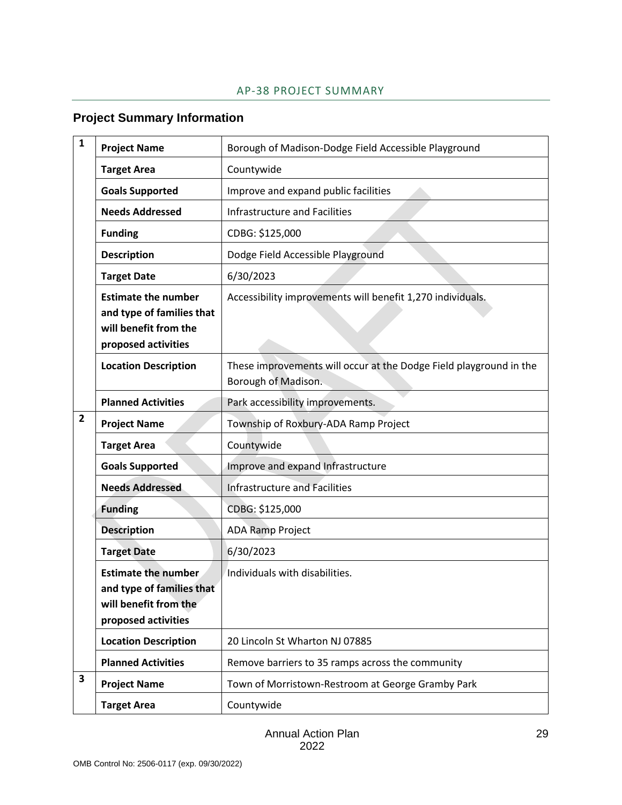#### AP-38 PROJECT SUMMARY

## <span id="page-29-0"></span>**Project Summary Information**

| $\mathbf{1}$ | <b>Project Name</b>                                                                                     | Borough of Madison-Dodge Field Accessible Playground                                      |
|--------------|---------------------------------------------------------------------------------------------------------|-------------------------------------------------------------------------------------------|
|              | <b>Target Area</b>                                                                                      | Countywide                                                                                |
|              | <b>Goals Supported</b>                                                                                  | Improve and expand public facilities                                                      |
|              | <b>Needs Addressed</b>                                                                                  | <b>Infrastructure and Facilities</b>                                                      |
|              | <b>Funding</b>                                                                                          | CDBG: \$125,000                                                                           |
|              | <b>Description</b>                                                                                      | Dodge Field Accessible Playground                                                         |
|              | <b>Target Date</b>                                                                                      | 6/30/2023                                                                                 |
|              | <b>Estimate the number</b><br>and type of families that<br>will benefit from the<br>proposed activities | Accessibility improvements will benefit 1,270 individuals.                                |
|              | <b>Location Description</b>                                                                             | These improvements will occur at the Dodge Field playground in the<br>Borough of Madison. |
|              | <b>Planned Activities</b>                                                                               | Park accessibility improvements.                                                          |
| $\mathbf{2}$ | <b>Project Name</b>                                                                                     | Township of Roxbury-ADA Ramp Project                                                      |
|              | <b>Target Area</b>                                                                                      | Countywide                                                                                |
|              | <b>Goals Supported</b>                                                                                  | Improve and expand Infrastructure                                                         |
|              | <b>Needs Addressed</b>                                                                                  | <b>Infrastructure and Facilities</b>                                                      |
|              | <b>Funding</b>                                                                                          | CDBG: \$125,000                                                                           |
|              | <b>Description</b>                                                                                      | <b>ADA Ramp Project</b>                                                                   |
|              | <b>Target Date</b>                                                                                      | 6/30/2023                                                                                 |
|              | <b>Estimate the number</b><br>and type of families that<br>will benefit from the<br>proposed activities | Individuals with disabilities.                                                            |
|              | <b>Location Description</b>                                                                             | 20 Lincoln St Wharton NJ 07885                                                            |
|              | <b>Planned Activities</b>                                                                               | Remove barriers to 35 ramps across the community                                          |
| 3            | <b>Project Name</b>                                                                                     | Town of Morristown-Restroom at George Gramby Park                                         |
|              | <b>Target Area</b>                                                                                      | Countywide                                                                                |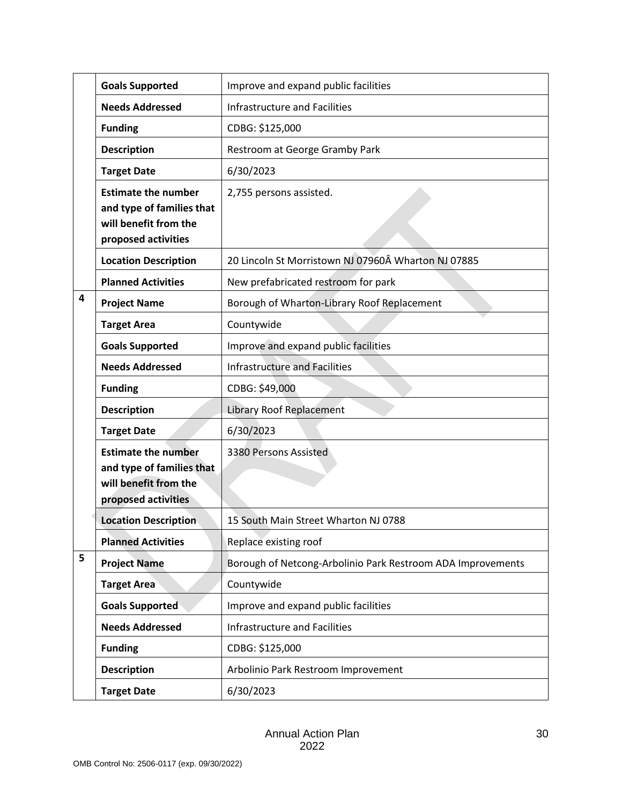|   | <b>Goals Supported</b>                                                                                  | Improve and expand public facilities                        |
|---|---------------------------------------------------------------------------------------------------------|-------------------------------------------------------------|
|   | <b>Needs Addressed</b>                                                                                  | Infrastructure and Facilities                               |
|   | <b>Funding</b>                                                                                          | CDBG: \$125,000                                             |
|   | <b>Description</b>                                                                                      | Restroom at George Gramby Park                              |
|   | <b>Target Date</b>                                                                                      | 6/30/2023                                                   |
|   | <b>Estimate the number</b><br>and type of families that<br>will benefit from the<br>proposed activities | 2,755 persons assisted.                                     |
|   | <b>Location Description</b>                                                                             | 20 Lincoln St Morristown NJ 07960Â Wharton NJ 07885         |
|   | <b>Planned Activities</b>                                                                               | New prefabricated restroom for park                         |
| 4 | <b>Project Name</b>                                                                                     | Borough of Wharton-Library Roof Replacement                 |
|   | <b>Target Area</b>                                                                                      | Countywide                                                  |
|   | <b>Goals Supported</b>                                                                                  | Improve and expand public facilities                        |
|   | <b>Needs Addressed</b>                                                                                  | <b>Infrastructure and Facilities</b>                        |
|   | <b>Funding</b>                                                                                          | CDBG: \$49,000                                              |
|   | <b>Description</b>                                                                                      | <b>Library Roof Replacement</b>                             |
|   | <b>Target Date</b>                                                                                      | 6/30/2023                                                   |
|   | <b>Estimate the number</b><br>and type of families that<br>will benefit from the<br>proposed activities | 3380 Persons Assisted                                       |
|   | <b>Location Description</b>                                                                             | 15 South Main Street Wharton NJ 0788                        |
|   | <b>Planned Activities</b>                                                                               | Replace existing roof                                       |
| 5 | <b>Project Name</b>                                                                                     | Borough of Netcong-Arbolinio Park Restroom ADA Improvements |
|   | <b>Target Area</b>                                                                                      | Countywide                                                  |
|   | <b>Goals Supported</b>                                                                                  | Improve and expand public facilities                        |
|   | <b>Needs Addressed</b>                                                                                  | Infrastructure and Facilities                               |
|   | <b>Funding</b>                                                                                          | CDBG: \$125,000                                             |
|   | <b>Description</b>                                                                                      | Arbolinio Park Restroom Improvement                         |
|   | <b>Target Date</b>                                                                                      | 6/30/2023                                                   |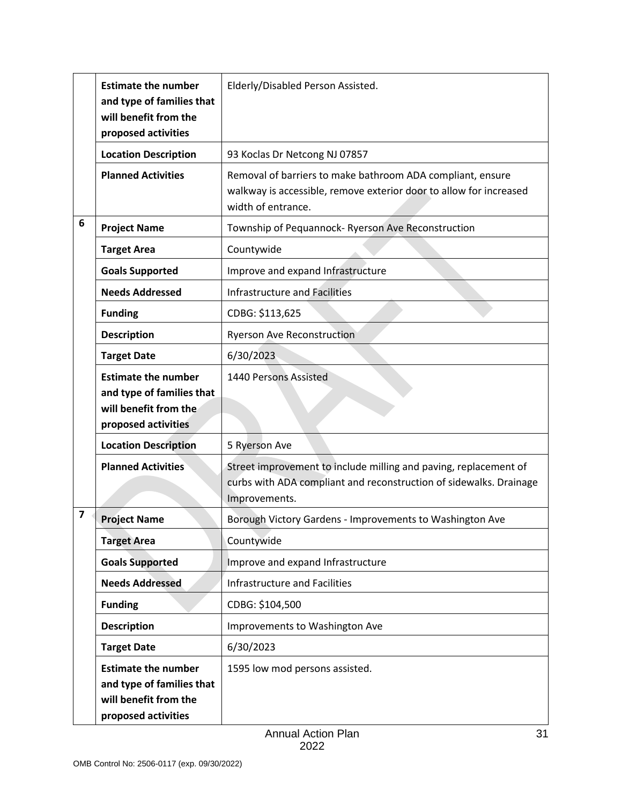|                         | <b>Estimate the number</b><br>and type of families that<br>will benefit from the<br>proposed activities | Elderly/Disabled Person Assisted.                                                                                                                       |
|-------------------------|---------------------------------------------------------------------------------------------------------|---------------------------------------------------------------------------------------------------------------------------------------------------------|
|                         | <b>Location Description</b>                                                                             | 93 Koclas Dr Netcong NJ 07857                                                                                                                           |
|                         | <b>Planned Activities</b>                                                                               | Removal of barriers to make bathroom ADA compliant, ensure<br>walkway is accessible, remove exterior door to allow for increased<br>width of entrance.  |
| 6                       | <b>Project Name</b>                                                                                     | Township of Pequannock- Ryerson Ave Reconstruction                                                                                                      |
|                         | <b>Target Area</b>                                                                                      | Countywide                                                                                                                                              |
|                         | <b>Goals Supported</b>                                                                                  | Improve and expand Infrastructure                                                                                                                       |
|                         | <b>Needs Addressed</b>                                                                                  | <b>Infrastructure and Facilities</b>                                                                                                                    |
|                         | <b>Funding</b>                                                                                          | CDBG: \$113,625                                                                                                                                         |
|                         | <b>Description</b>                                                                                      | <b>Ryerson Ave Reconstruction</b>                                                                                                                       |
|                         | <b>Target Date</b>                                                                                      | 6/30/2023                                                                                                                                               |
|                         | <b>Estimate the number</b><br>and type of families that<br>will benefit from the<br>proposed activities | 1440 Persons Assisted                                                                                                                                   |
|                         | <b>Location Description</b>                                                                             | 5 Ryerson Ave                                                                                                                                           |
|                         | <b>Planned Activities</b>                                                                               | Street improvement to include milling and paving, replacement of<br>curbs with ADA compliant and reconstruction of sidewalks. Drainage<br>Improvements. |
| $\overline{\mathbf{z}}$ | <b>Project Name</b>                                                                                     | Borough Victory Gardens - Improvements to Washington Ave                                                                                                |
|                         | <b>Target Area</b>                                                                                      | Countywide                                                                                                                                              |
|                         | <b>Goals Supported</b>                                                                                  | Improve and expand Infrastructure                                                                                                                       |
|                         | <b>Needs Addressed</b>                                                                                  | Infrastructure and Facilities                                                                                                                           |
|                         | <b>Funding</b>                                                                                          | CDBG: \$104,500                                                                                                                                         |
|                         | <b>Description</b>                                                                                      | Improvements to Washington Ave                                                                                                                          |
|                         | <b>Target Date</b>                                                                                      | 6/30/2023                                                                                                                                               |
|                         | <b>Estimate the number</b><br>and type of families that<br>will benefit from the<br>proposed activities | 1595 low mod persons assisted.                                                                                                                          |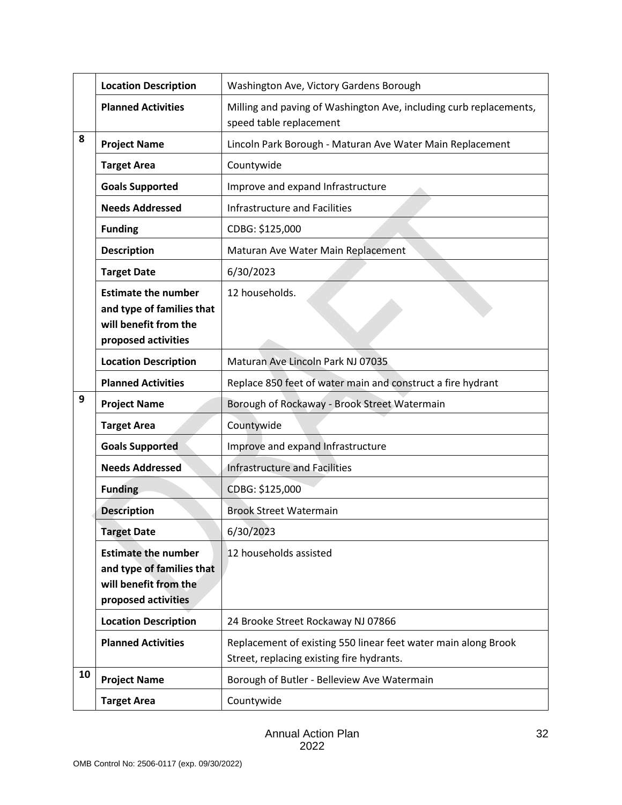|    | <b>Location Description</b>                                                                             | Washington Ave, Victory Gardens Borough                                                                     |
|----|---------------------------------------------------------------------------------------------------------|-------------------------------------------------------------------------------------------------------------|
|    | <b>Planned Activities</b>                                                                               | Milling and paving of Washington Ave, including curb replacements,<br>speed table replacement               |
| 8  | <b>Project Name</b>                                                                                     | Lincoln Park Borough - Maturan Ave Water Main Replacement                                                   |
|    | <b>Target Area</b>                                                                                      | Countywide                                                                                                  |
|    | <b>Goals Supported</b>                                                                                  | Improve and expand Infrastructure                                                                           |
|    | <b>Needs Addressed</b>                                                                                  | Infrastructure and Facilities                                                                               |
|    | <b>Funding</b>                                                                                          | CDBG: \$125,000                                                                                             |
|    | <b>Description</b>                                                                                      | Maturan Ave Water Main Replacement                                                                          |
|    | <b>Target Date</b>                                                                                      | 6/30/2023                                                                                                   |
|    | <b>Estimate the number</b><br>and type of families that<br>will benefit from the<br>proposed activities | 12 households.                                                                                              |
|    | <b>Location Description</b>                                                                             | Maturan Ave Lincoln Park NJ 07035                                                                           |
|    | <b>Planned Activities</b>                                                                               | Replace 850 feet of water main and construct a fire hydrant                                                 |
| 9  | <b>Project Name</b>                                                                                     | Borough of Rockaway - Brook Street Watermain                                                                |
|    |                                                                                                         |                                                                                                             |
|    | <b>Target Area</b>                                                                                      | Countywide                                                                                                  |
|    | <b>Goals Supported</b>                                                                                  | Improve and expand Infrastructure                                                                           |
|    | <b>Needs Addressed</b>                                                                                  | <b>Infrastructure and Facilities</b>                                                                        |
|    | <b>Funding</b>                                                                                          | CDBG: \$125,000                                                                                             |
|    | <b>Description</b>                                                                                      | <b>Brook Street Watermain</b>                                                                               |
|    | <b>Target Date</b>                                                                                      | 6/30/2023                                                                                                   |
|    | <b>Estimate the number</b><br>and type of families that<br>will benefit from the<br>proposed activities | 12 households assisted                                                                                      |
|    | <b>Location Description</b>                                                                             | 24 Brooke Street Rockaway NJ 07866                                                                          |
|    | <b>Planned Activities</b>                                                                               | Replacement of existing 550 linear feet water main along Brook<br>Street, replacing existing fire hydrants. |
| 10 | <b>Project Name</b>                                                                                     | Borough of Butler - Belleview Ave Watermain                                                                 |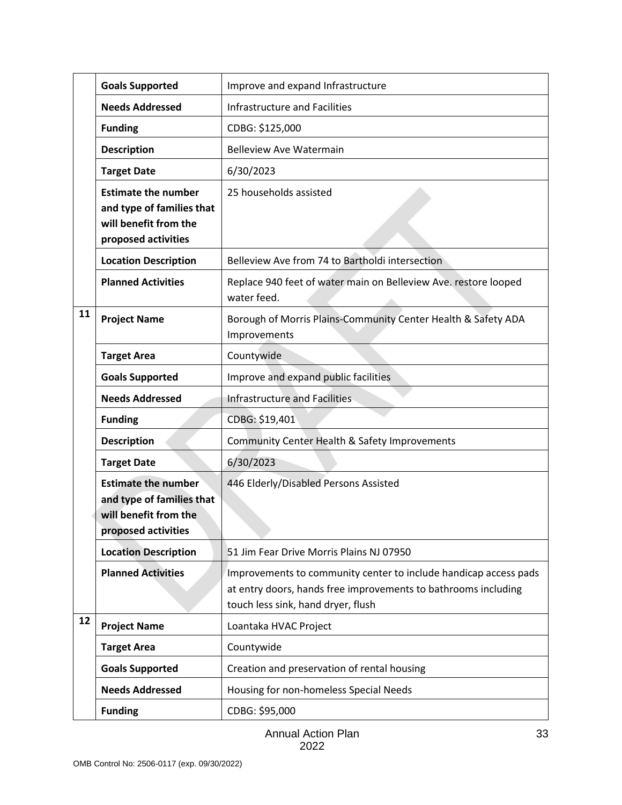|    | <b>Goals Supported</b>                                                                                  | Improve and expand Infrastructure                                                                                                                                        |
|----|---------------------------------------------------------------------------------------------------------|--------------------------------------------------------------------------------------------------------------------------------------------------------------------------|
|    | <b>Needs Addressed</b>                                                                                  | <b>Infrastructure and Facilities</b>                                                                                                                                     |
|    | <b>Funding</b>                                                                                          | CDBG: \$125,000                                                                                                                                                          |
|    | <b>Description</b>                                                                                      | <b>Belleview Ave Watermain</b>                                                                                                                                           |
|    | <b>Target Date</b>                                                                                      | 6/30/2023                                                                                                                                                                |
|    | <b>Estimate the number</b><br>and type of families that<br>will benefit from the<br>proposed activities | 25 households assisted                                                                                                                                                   |
|    | <b>Location Description</b>                                                                             | Belleview Ave from 74 to Bartholdi intersection                                                                                                                          |
|    | <b>Planned Activities</b>                                                                               | Replace 940 feet of water main on Belleview Ave. restore looped<br>water feed.                                                                                           |
| 11 | <b>Project Name</b>                                                                                     | Borough of Morris Plains-Community Center Health & Safety ADA<br>Improvements                                                                                            |
|    | <b>Target Area</b>                                                                                      | Countywide                                                                                                                                                               |
|    | <b>Goals Supported</b>                                                                                  | Improve and expand public facilities                                                                                                                                     |
|    | <b>Needs Addressed</b>                                                                                  | <b>Infrastructure and Facilities</b>                                                                                                                                     |
|    | <b>Funding</b>                                                                                          | CDBG: \$19,401                                                                                                                                                           |
|    | <b>Description</b>                                                                                      | Community Center Health & Safety Improvements                                                                                                                            |
|    | <b>Target Date</b>                                                                                      | 6/30/2023                                                                                                                                                                |
|    | <b>Estimate the number</b><br>and type of families that<br>will benefit from the<br>proposed activities | 446 Elderly/Disabled Persons Assisted                                                                                                                                    |
|    | <b>Location Description</b>                                                                             | 51 Jim Fear Drive Morris Plains NJ 07950                                                                                                                                 |
|    | <b>Planned Activities</b>                                                                               | Improvements to community center to include handicap access pads<br>at entry doors, hands free improvements to bathrooms including<br>touch less sink, hand dryer, flush |
| 12 | <b>Project Name</b>                                                                                     | Loantaka HVAC Project                                                                                                                                                    |
|    | <b>Target Area</b>                                                                                      | Countywide                                                                                                                                                               |
|    | <b>Goals Supported</b>                                                                                  | Creation and preservation of rental housing                                                                                                                              |
|    | <b>Needs Addressed</b>                                                                                  | Housing for non-homeless Special Needs                                                                                                                                   |
|    | <b>Funding</b>                                                                                          | CDBG: \$95,000                                                                                                                                                           |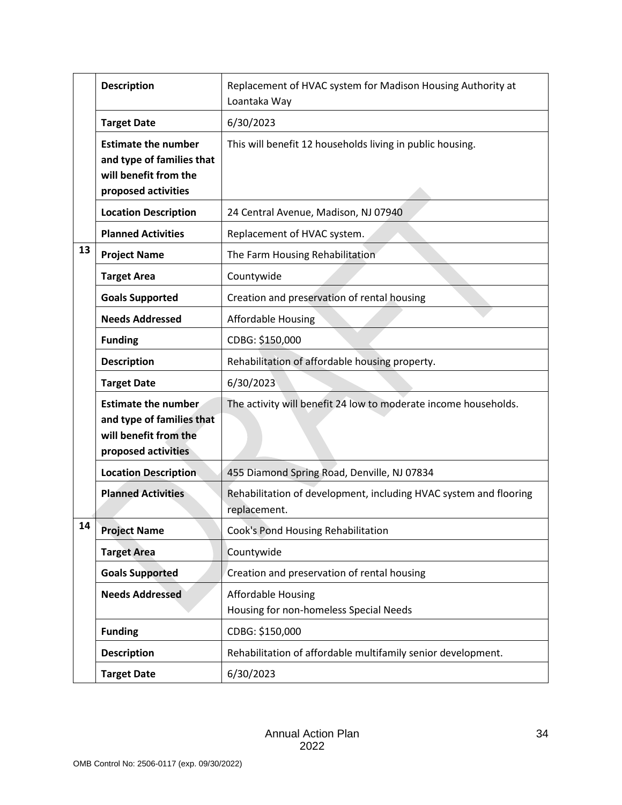|    | <b>Description</b>                                                                                      | Replacement of HVAC system for Madison Housing Authority at<br>Loantaka Way       |
|----|---------------------------------------------------------------------------------------------------------|-----------------------------------------------------------------------------------|
|    | <b>Target Date</b>                                                                                      | 6/30/2023                                                                         |
|    | <b>Estimate the number</b><br>and type of families that<br>will benefit from the<br>proposed activities | This will benefit 12 households living in public housing.                         |
|    | <b>Location Description</b>                                                                             | 24 Central Avenue, Madison, NJ 07940                                              |
|    | <b>Planned Activities</b>                                                                               | Replacement of HVAC system.                                                       |
| 13 | <b>Project Name</b>                                                                                     | The Farm Housing Rehabilitation                                                   |
|    | <b>Target Area</b>                                                                                      | Countywide                                                                        |
|    | <b>Goals Supported</b>                                                                                  | Creation and preservation of rental housing                                       |
|    | <b>Needs Addressed</b>                                                                                  | <b>Affordable Housing</b>                                                         |
|    | <b>Funding</b>                                                                                          | CDBG: \$150,000                                                                   |
|    | <b>Description</b>                                                                                      | Rehabilitation of affordable housing property.                                    |
|    | <b>Target Date</b>                                                                                      | 6/30/2023                                                                         |
|    | <b>Estimate the number</b><br>and type of families that<br>will benefit from the<br>proposed activities | The activity will benefit 24 low to moderate income households.                   |
|    | <b>Location Description</b>                                                                             | 455 Diamond Spring Road, Denville, NJ 07834                                       |
|    | <b>Planned Activities</b>                                                                               | Rehabilitation of development, including HVAC system and flooring<br>replacement. |
| 14 | <b>Project Name</b>                                                                                     | Cook's Pond Housing Rehabilitation                                                |
|    | <b>Target Area</b>                                                                                      | Countywide                                                                        |
|    | <b>Goals Supported</b>                                                                                  | Creation and preservation of rental housing                                       |
|    | <b>Needs Addressed</b>                                                                                  | <b>Affordable Housing</b><br>Housing for non-homeless Special Needs               |
|    | <b>Funding</b>                                                                                          | CDBG: \$150,000                                                                   |
|    | <b>Description</b>                                                                                      | Rehabilitation of affordable multifamily senior development.                      |
|    | <b>Target Date</b>                                                                                      | 6/30/2023                                                                         |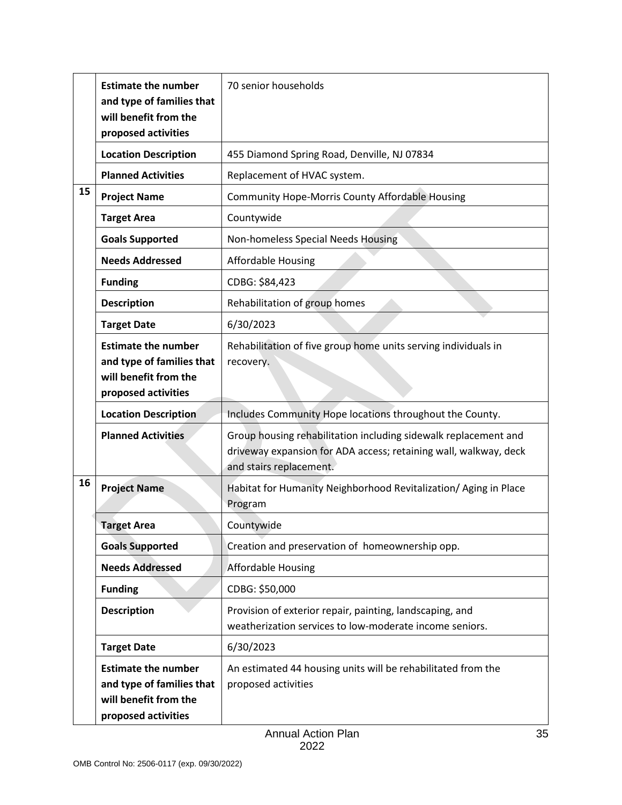|    | <b>Estimate the number</b><br>and type of families that<br>will benefit from the<br>proposed activities | 70 senior households                                                                                                                                           |
|----|---------------------------------------------------------------------------------------------------------|----------------------------------------------------------------------------------------------------------------------------------------------------------------|
|    | <b>Location Description</b>                                                                             | 455 Diamond Spring Road, Denville, NJ 07834                                                                                                                    |
|    | <b>Planned Activities</b>                                                                               | Replacement of HVAC system.                                                                                                                                    |
| 15 | <b>Project Name</b>                                                                                     | Community Hope-Morris County Affordable Housing                                                                                                                |
|    | <b>Target Area</b>                                                                                      | Countywide                                                                                                                                                     |
|    | <b>Goals Supported</b>                                                                                  | Non-homeless Special Needs Housing                                                                                                                             |
|    | <b>Needs Addressed</b>                                                                                  | <b>Affordable Housing</b>                                                                                                                                      |
|    | <b>Funding</b>                                                                                          | CDBG: \$84,423                                                                                                                                                 |
|    | <b>Description</b>                                                                                      | Rehabilitation of group homes                                                                                                                                  |
|    | <b>Target Date</b>                                                                                      | 6/30/2023                                                                                                                                                      |
|    | <b>Estimate the number</b><br>and type of families that<br>will benefit from the<br>proposed activities | Rehabilitation of five group home units serving individuals in<br>recovery.                                                                                    |
|    | <b>Location Description</b>                                                                             | Includes Community Hope locations throughout the County.                                                                                                       |
|    | <b>Planned Activities</b>                                                                               | Group housing rehabilitation including sidewalk replacement and<br>driveway expansion for ADA access; retaining wall, walkway, deck<br>and stairs replacement. |
| 16 | <b>Project Name</b>                                                                                     | Habitat for Humanity Neighborhood Revitalization/ Aging in Place<br>Program                                                                                    |
|    | <b>Target Area</b>                                                                                      | Countywide                                                                                                                                                     |
|    | <b>Goals Supported</b>                                                                                  | Creation and preservation of homeownership opp.                                                                                                                |
|    | <b>Needs Addressed</b>                                                                                  | <b>Affordable Housing</b>                                                                                                                                      |
|    | <b>Funding</b>                                                                                          | CDBG: \$50,000                                                                                                                                                 |
|    | <b>Description</b>                                                                                      | Provision of exterior repair, painting, landscaping, and<br>weatherization services to low-moderate income seniors.                                            |
|    | <b>Target Date</b>                                                                                      | 6/30/2023                                                                                                                                                      |
|    | <b>Estimate the number</b><br>and type of families that<br>will benefit from the<br>proposed activities | An estimated 44 housing units will be rehabilitated from the<br>proposed activities                                                                            |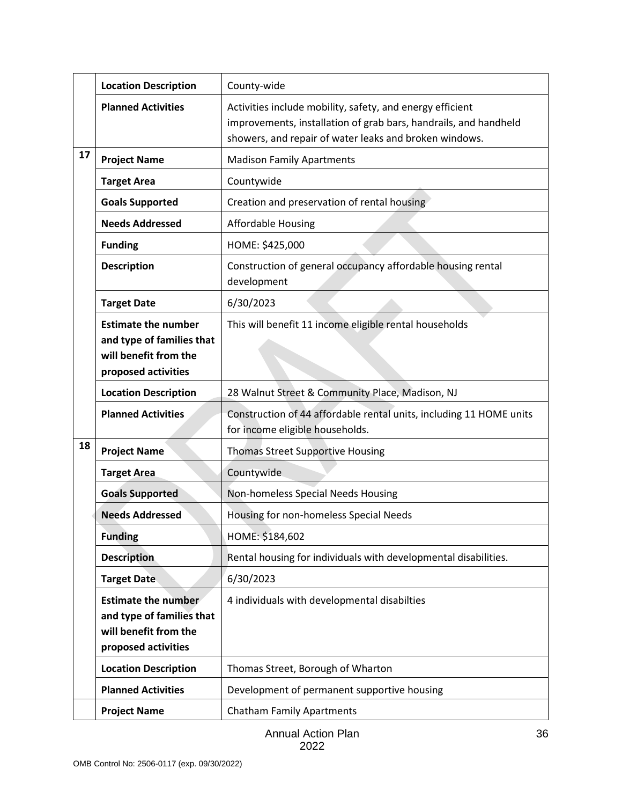|    | <b>Location Description</b>                                                                             | County-wide                                                                                                                                                                             |
|----|---------------------------------------------------------------------------------------------------------|-----------------------------------------------------------------------------------------------------------------------------------------------------------------------------------------|
|    | <b>Planned Activities</b>                                                                               | Activities include mobility, safety, and energy efficient<br>improvements, installation of grab bars, handrails, and handheld<br>showers, and repair of water leaks and broken windows. |
| 17 | <b>Project Name</b>                                                                                     | <b>Madison Family Apartments</b>                                                                                                                                                        |
|    | <b>Target Area</b>                                                                                      | Countywide                                                                                                                                                                              |
|    | <b>Goals Supported</b>                                                                                  | Creation and preservation of rental housing                                                                                                                                             |
|    | <b>Needs Addressed</b>                                                                                  | <b>Affordable Housing</b>                                                                                                                                                               |
|    | <b>Funding</b>                                                                                          | HOME: \$425,000                                                                                                                                                                         |
|    | <b>Description</b>                                                                                      | Construction of general occupancy affordable housing rental<br>development                                                                                                              |
|    | <b>Target Date</b>                                                                                      | 6/30/2023                                                                                                                                                                               |
|    | <b>Estimate the number</b><br>and type of families that<br>will benefit from the<br>proposed activities | This will benefit 11 income eligible rental households                                                                                                                                  |
|    | <b>Location Description</b>                                                                             | 28 Walnut Street & Community Place, Madison, NJ                                                                                                                                         |
|    | <b>Planned Activities</b>                                                                               | Construction of 44 affordable rental units, including 11 HOME units<br>for income eligible households.                                                                                  |
| 18 | <b>Project Name</b>                                                                                     | <b>Thomas Street Supportive Housing</b>                                                                                                                                                 |
|    | <b>Target Area</b>                                                                                      | Countywide                                                                                                                                                                              |
|    | <b>Goals Supported</b>                                                                                  | Non-homeless Special Needs Housing                                                                                                                                                      |
|    | <b>Needs Addressed</b>                                                                                  | Housing for non-homeless Special Needs                                                                                                                                                  |
|    | <b>Funding</b>                                                                                          | HOME: \$184,602                                                                                                                                                                         |
|    | <b>Description</b>                                                                                      | Rental housing for individuals with developmental disabilities.                                                                                                                         |
|    | <b>Target Date</b>                                                                                      | 6/30/2023                                                                                                                                                                               |
|    | <b>Estimate the number</b><br>and type of families that<br>will benefit from the<br>proposed activities | 4 individuals with developmental disabilties                                                                                                                                            |
|    | <b>Location Description</b>                                                                             | Thomas Street, Borough of Wharton                                                                                                                                                       |
|    | <b>Planned Activities</b>                                                                               | Development of permanent supportive housing                                                                                                                                             |
|    | <b>Project Name</b>                                                                                     | <b>Chatham Family Apartments</b>                                                                                                                                                        |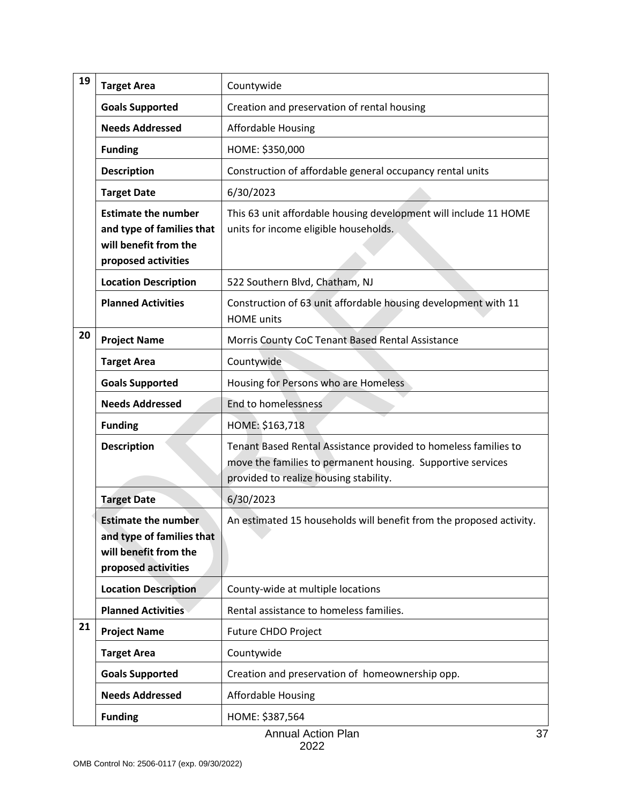| 19 | <b>Target Area</b>                                                                                      | Countywide                                                                                                                                                               |
|----|---------------------------------------------------------------------------------------------------------|--------------------------------------------------------------------------------------------------------------------------------------------------------------------------|
|    | <b>Goals Supported</b>                                                                                  | Creation and preservation of rental housing                                                                                                                              |
|    | <b>Needs Addressed</b>                                                                                  | <b>Affordable Housing</b>                                                                                                                                                |
|    | <b>Funding</b>                                                                                          | HOME: \$350,000                                                                                                                                                          |
|    | <b>Description</b>                                                                                      | Construction of affordable general occupancy rental units                                                                                                                |
|    | <b>Target Date</b>                                                                                      | 6/30/2023                                                                                                                                                                |
|    | <b>Estimate the number</b><br>and type of families that<br>will benefit from the<br>proposed activities | This 63 unit affordable housing development will include 11 HOME<br>units for income eligible households.                                                                |
|    | <b>Location Description</b>                                                                             | 522 Southern Blvd, Chatham, NJ                                                                                                                                           |
|    | <b>Planned Activities</b>                                                                               | Construction of 63 unit affordable housing development with 11<br><b>HOME</b> units                                                                                      |
| 20 | <b>Project Name</b>                                                                                     | Morris County CoC Tenant Based Rental Assistance                                                                                                                         |
|    | <b>Target Area</b>                                                                                      | Countywide                                                                                                                                                               |
|    | <b>Goals Supported</b>                                                                                  | Housing for Persons who are Homeless                                                                                                                                     |
|    | <b>Needs Addressed</b>                                                                                  | <b>End to homelessness</b>                                                                                                                                               |
|    | <b>Funding</b>                                                                                          | HOME: \$163,718                                                                                                                                                          |
|    | <b>Description</b>                                                                                      | Tenant Based Rental Assistance provided to homeless families to<br>move the families to permanent housing. Supportive services<br>provided to realize housing stability. |
|    | <b>Target Date</b>                                                                                      | 6/30/2023                                                                                                                                                                |
|    | <b>Estimate the number</b><br>and type of families that<br>will benefit from the<br>proposed activities | An estimated 15 households will benefit from the proposed activity.                                                                                                      |
|    | <b>Location Description</b>                                                                             | County-wide at multiple locations                                                                                                                                        |
|    | <b>Planned Activities</b>                                                                               | Rental assistance to homeless families.                                                                                                                                  |
| 21 | <b>Project Name</b>                                                                                     | Future CHDO Project                                                                                                                                                      |
|    | <b>Target Area</b>                                                                                      | Countywide                                                                                                                                                               |
|    | <b>Goals Supported</b>                                                                                  | Creation and preservation of homeownership opp.                                                                                                                          |
|    | <b>Needs Addressed</b>                                                                                  | <b>Affordable Housing</b>                                                                                                                                                |
|    | <b>Funding</b>                                                                                          | HOME: \$387,564                                                                                                                                                          |
|    |                                                                                                         | <b>Annual Action Plan</b><br>37                                                                                                                                          |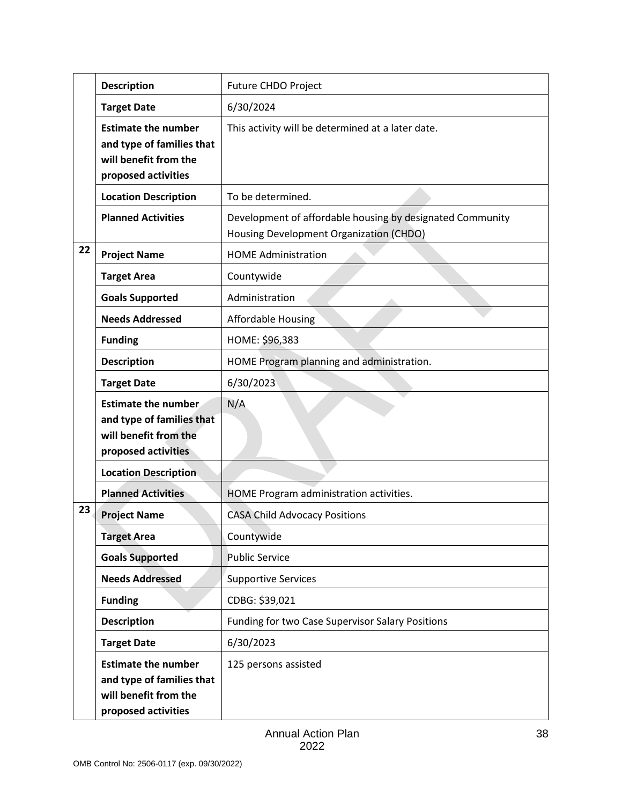|    | <b>Description</b>                                                                                      | <b>Future CHDO Project</b>                                                                           |
|----|---------------------------------------------------------------------------------------------------------|------------------------------------------------------------------------------------------------------|
|    | <b>Target Date</b>                                                                                      | 6/30/2024                                                                                            |
|    | <b>Estimate the number</b><br>and type of families that<br>will benefit from the<br>proposed activities | This activity will be determined at a later date.                                                    |
|    | <b>Location Description</b>                                                                             | To be determined.                                                                                    |
|    | <b>Planned Activities</b>                                                                               | Development of affordable housing by designated Community<br>Housing Development Organization (CHDO) |
| 22 | <b>Project Name</b>                                                                                     | <b>HOME Administration</b>                                                                           |
|    | <b>Target Area</b>                                                                                      | Countywide                                                                                           |
|    | <b>Goals Supported</b>                                                                                  | Administration                                                                                       |
|    | <b>Needs Addressed</b>                                                                                  | <b>Affordable Housing</b>                                                                            |
|    | <b>Funding</b>                                                                                          | HOME: \$96,383                                                                                       |
|    | <b>Description</b>                                                                                      | HOME Program planning and administration.                                                            |
|    | <b>Target Date</b>                                                                                      | 6/30/2023                                                                                            |
|    | <b>Estimate the number</b><br>and type of families that<br>will benefit from the<br>proposed activities | N/A                                                                                                  |
|    | <b>Location Description</b>                                                                             |                                                                                                      |
|    | <b>Planned Activities</b>                                                                               | HOME Program administration activities.                                                              |
| 23 | <b>Project Name</b>                                                                                     | <b>CASA Child Advocacy Positions</b>                                                                 |
|    | <b>Target Area</b>                                                                                      | Countywide                                                                                           |
|    | <b>Goals Supported</b>                                                                                  | <b>Public Service</b>                                                                                |
|    | <b>Needs Addressed</b>                                                                                  | <b>Supportive Services</b>                                                                           |
|    | <b>Funding</b>                                                                                          | CDBG: \$39,021                                                                                       |
|    | <b>Description</b>                                                                                      | Funding for two Case Supervisor Salary Positions                                                     |
|    | <b>Target Date</b>                                                                                      | 6/30/2023                                                                                            |
|    | <b>Estimate the number</b><br>and type of families that<br>will benefit from the<br>proposed activities | 125 persons assisted                                                                                 |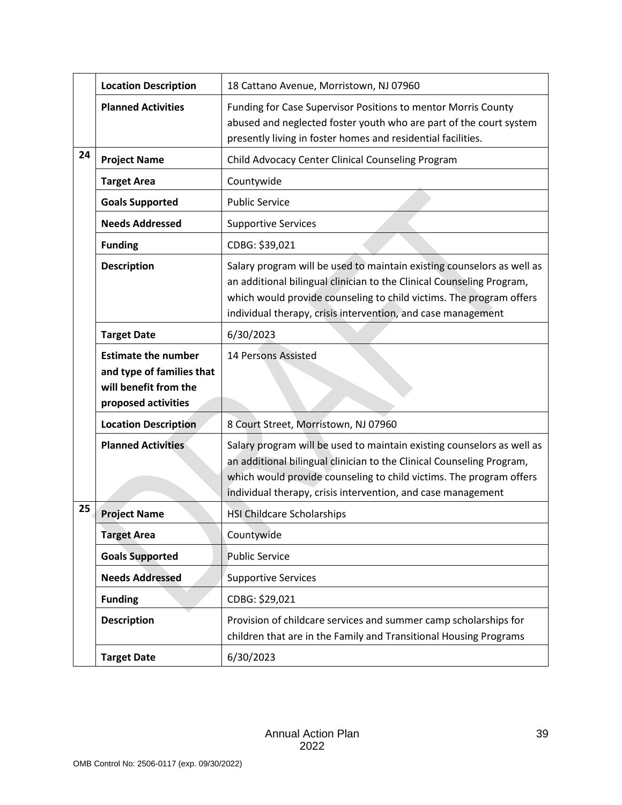|    | <b>Location Description</b>                                                                             | 18 Cattano Avenue, Morristown, NJ 07960                                                                                                                                                                                                                                                |  |  |  |
|----|---------------------------------------------------------------------------------------------------------|----------------------------------------------------------------------------------------------------------------------------------------------------------------------------------------------------------------------------------------------------------------------------------------|--|--|--|
|    | <b>Planned Activities</b>                                                                               | Funding for Case Supervisor Positions to mentor Morris County<br>abused and neglected foster youth who are part of the court system<br>presently living in foster homes and residential facilities.                                                                                    |  |  |  |
| 24 | <b>Project Name</b>                                                                                     | Child Advocacy Center Clinical Counseling Program                                                                                                                                                                                                                                      |  |  |  |
|    | <b>Target Area</b>                                                                                      | Countywide                                                                                                                                                                                                                                                                             |  |  |  |
|    | <b>Goals Supported</b>                                                                                  | <b>Public Service</b>                                                                                                                                                                                                                                                                  |  |  |  |
|    | <b>Needs Addressed</b>                                                                                  | <b>Supportive Services</b>                                                                                                                                                                                                                                                             |  |  |  |
|    | <b>Funding</b>                                                                                          | CDBG: \$39,021                                                                                                                                                                                                                                                                         |  |  |  |
|    | <b>Description</b>                                                                                      | Salary program will be used to maintain existing counselors as well as<br>an additional bilingual clinician to the Clinical Counseling Program,<br>which would provide counseling to child victims. The program offers<br>individual therapy, crisis intervention, and case management |  |  |  |
|    | <b>Target Date</b>                                                                                      | 6/30/2023                                                                                                                                                                                                                                                                              |  |  |  |
|    | <b>Estimate the number</b><br>and type of families that<br>will benefit from the<br>proposed activities | 14 Persons Assisted                                                                                                                                                                                                                                                                    |  |  |  |
|    | <b>Location Description</b>                                                                             | 8 Court Street, Morristown, NJ 07960                                                                                                                                                                                                                                                   |  |  |  |
|    | <b>Planned Activities</b>                                                                               | Salary program will be used to maintain existing counselors as well as<br>an additional bilingual clinician to the Clinical Counseling Program,<br>which would provide counseling to child victims. The program offers<br>individual therapy, crisis intervention, and case management |  |  |  |
| 25 | <b>Project Name</b>                                                                                     | <b>HSI Childcare Scholarships</b>                                                                                                                                                                                                                                                      |  |  |  |
|    | <b>Target Area</b>                                                                                      | Countywide                                                                                                                                                                                                                                                                             |  |  |  |
|    | <b>Goals Supported</b>                                                                                  | <b>Public Service</b>                                                                                                                                                                                                                                                                  |  |  |  |
|    | <b>Needs Addressed</b>                                                                                  | <b>Supportive Services</b>                                                                                                                                                                                                                                                             |  |  |  |
|    | <b>Funding</b>                                                                                          | CDBG: \$29,021                                                                                                                                                                                                                                                                         |  |  |  |
|    | <b>Description</b>                                                                                      | Provision of childcare services and summer camp scholarships for<br>children that are in the Family and Transitional Housing Programs                                                                                                                                                  |  |  |  |
|    | <b>Target Date</b>                                                                                      | 6/30/2023                                                                                                                                                                                                                                                                              |  |  |  |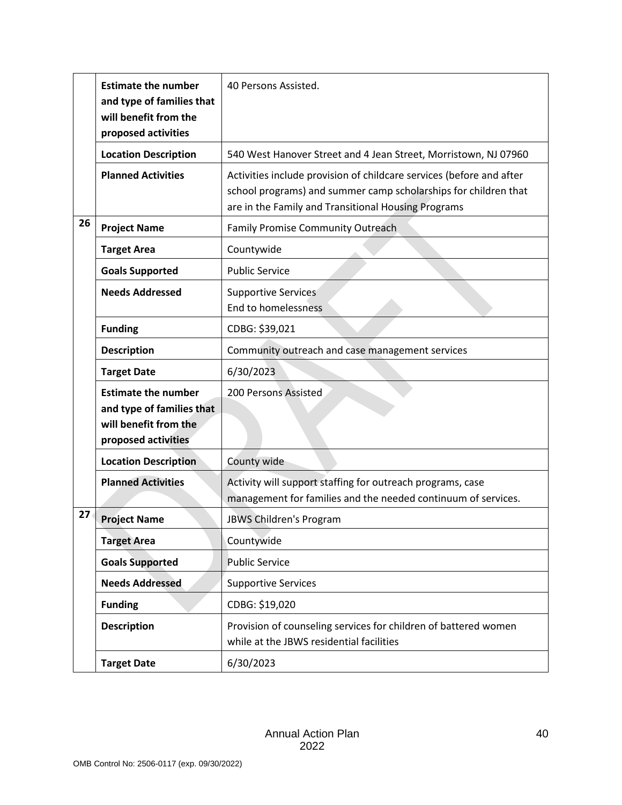|    | <b>Estimate the number</b><br>and type of families that<br>will benefit from the<br>proposed activities | 40 Persons Assisted.                                                                                                                                                                           |  |  |  |  |  |
|----|---------------------------------------------------------------------------------------------------------|------------------------------------------------------------------------------------------------------------------------------------------------------------------------------------------------|--|--|--|--|--|
|    | <b>Location Description</b>                                                                             | 540 West Hanover Street and 4 Jean Street, Morristown, NJ 07960                                                                                                                                |  |  |  |  |  |
|    | <b>Planned Activities</b>                                                                               | Activities include provision of childcare services (before and after<br>school programs) and summer camp scholarships for children that<br>are in the Family and Transitional Housing Programs |  |  |  |  |  |
| 26 | <b>Project Name</b>                                                                                     | <b>Family Promise Community Outreach</b>                                                                                                                                                       |  |  |  |  |  |
|    | <b>Target Area</b>                                                                                      | Countywide                                                                                                                                                                                     |  |  |  |  |  |
|    | <b>Goals Supported</b>                                                                                  | <b>Public Service</b>                                                                                                                                                                          |  |  |  |  |  |
|    | <b>Needs Addressed</b>                                                                                  | <b>Supportive Services</b><br>End to homelessness                                                                                                                                              |  |  |  |  |  |
|    | <b>Funding</b>                                                                                          | CDBG: \$39,021                                                                                                                                                                                 |  |  |  |  |  |
|    | <b>Description</b>                                                                                      | Community outreach and case management services                                                                                                                                                |  |  |  |  |  |
|    | <b>Target Date</b>                                                                                      | 6/30/2023                                                                                                                                                                                      |  |  |  |  |  |
|    | <b>Estimate the number</b><br>and type of families that<br>will benefit from the<br>proposed activities | 200 Persons Assisted                                                                                                                                                                           |  |  |  |  |  |
|    | <b>Location Description</b>                                                                             | County wide                                                                                                                                                                                    |  |  |  |  |  |
|    | <b>Planned Activities</b>                                                                               | Activity will support staffing for outreach programs, case<br>management for families and the needed continuum of services.                                                                    |  |  |  |  |  |
| 27 | <b>Project Name</b>                                                                                     | JBWS Children's Program                                                                                                                                                                        |  |  |  |  |  |
|    | <b>Target Area</b>                                                                                      | Countywide                                                                                                                                                                                     |  |  |  |  |  |
|    | <b>Goals Supported</b>                                                                                  | <b>Public Service</b>                                                                                                                                                                          |  |  |  |  |  |
|    | <b>Needs Addressed</b>                                                                                  | <b>Supportive Services</b>                                                                                                                                                                     |  |  |  |  |  |
|    | <b>Funding</b>                                                                                          | CDBG: \$19,020                                                                                                                                                                                 |  |  |  |  |  |
|    | <b>Description</b>                                                                                      | Provision of counseling services for children of battered women<br>while at the JBWS residential facilities                                                                                    |  |  |  |  |  |
|    | <b>Target Date</b>                                                                                      | 6/30/2023                                                                                                                                                                                      |  |  |  |  |  |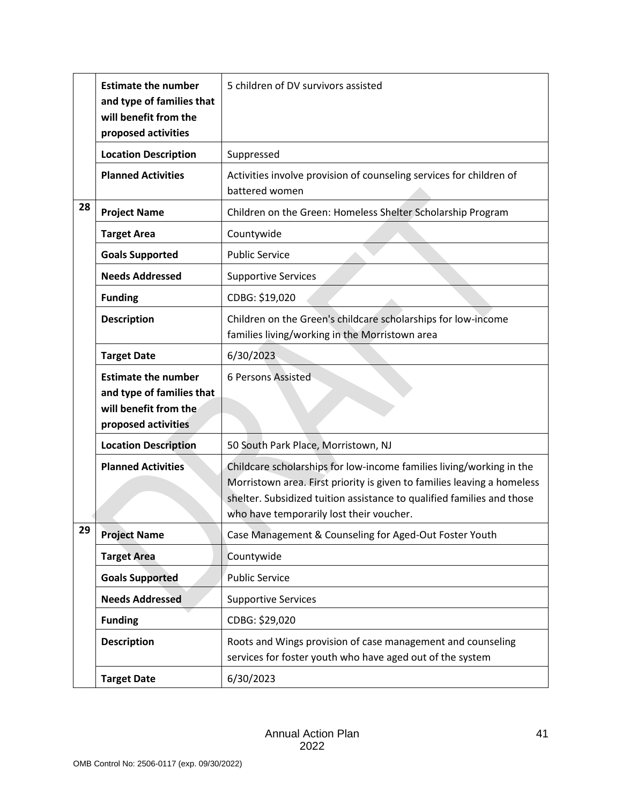|    | <b>Estimate the number</b><br>and type of families that<br>will benefit from the                        | 5 children of DV survivors assisted                                                                                                                                                                                                                                   |  |  |  |  |  |
|----|---------------------------------------------------------------------------------------------------------|-----------------------------------------------------------------------------------------------------------------------------------------------------------------------------------------------------------------------------------------------------------------------|--|--|--|--|--|
|    | proposed activities                                                                                     |                                                                                                                                                                                                                                                                       |  |  |  |  |  |
|    | <b>Location Description</b>                                                                             | Suppressed                                                                                                                                                                                                                                                            |  |  |  |  |  |
|    | <b>Planned Activities</b>                                                                               | Activities involve provision of counseling services for children of<br>battered women                                                                                                                                                                                 |  |  |  |  |  |
| 28 | <b>Project Name</b>                                                                                     | Children on the Green: Homeless Shelter Scholarship Program                                                                                                                                                                                                           |  |  |  |  |  |
|    | <b>Target Area</b>                                                                                      | Countywide                                                                                                                                                                                                                                                            |  |  |  |  |  |
|    | <b>Goals Supported</b>                                                                                  | <b>Public Service</b>                                                                                                                                                                                                                                                 |  |  |  |  |  |
|    | <b>Needs Addressed</b>                                                                                  | <b>Supportive Services</b>                                                                                                                                                                                                                                            |  |  |  |  |  |
|    | <b>Funding</b>                                                                                          | CDBG: \$19,020                                                                                                                                                                                                                                                        |  |  |  |  |  |
|    | <b>Description</b>                                                                                      | Children on the Green's childcare scholarships for low-income<br>families living/working in the Morristown area                                                                                                                                                       |  |  |  |  |  |
|    | <b>Target Date</b>                                                                                      | 6/30/2023                                                                                                                                                                                                                                                             |  |  |  |  |  |
|    | <b>Estimate the number</b><br>and type of families that<br>will benefit from the<br>proposed activities | 6 Persons Assisted                                                                                                                                                                                                                                                    |  |  |  |  |  |
|    | <b>Location Description</b>                                                                             | 50 South Park Place, Morristown, NJ                                                                                                                                                                                                                                   |  |  |  |  |  |
|    | <b>Planned Activities</b>                                                                               | Childcare scholarships for low-income families living/working in the<br>Morristown area. First priority is given to families leaving a homeless<br>shelter. Subsidized tuition assistance to qualified families and those<br>who have temporarily lost their voucher. |  |  |  |  |  |
| 29 | <b>Project Name</b>                                                                                     | Case Management & Counseling for Aged-Out Foster Youth                                                                                                                                                                                                                |  |  |  |  |  |
|    | <b>Target Area</b>                                                                                      | Countywide                                                                                                                                                                                                                                                            |  |  |  |  |  |
|    | <b>Goals Supported</b>                                                                                  | <b>Public Service</b>                                                                                                                                                                                                                                                 |  |  |  |  |  |
|    | <b>Needs Addressed</b>                                                                                  | <b>Supportive Services</b>                                                                                                                                                                                                                                            |  |  |  |  |  |
|    | <b>Funding</b>                                                                                          | CDBG: \$29,020                                                                                                                                                                                                                                                        |  |  |  |  |  |
|    | <b>Description</b>                                                                                      | Roots and Wings provision of case management and counseling<br>services for foster youth who have aged out of the system                                                                                                                                              |  |  |  |  |  |
|    | <b>Target Date</b>                                                                                      | 6/30/2023                                                                                                                                                                                                                                                             |  |  |  |  |  |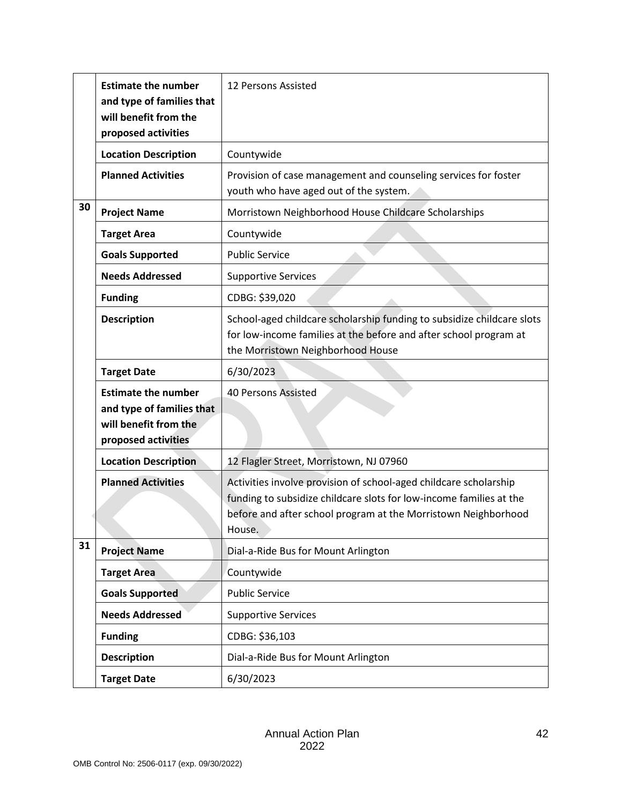|    | <b>Estimate the number</b><br>and type of families that<br>will benefit from the<br>proposed activities | 12 Persons Assisted                                                                                                                                                                                                  |  |  |  |
|----|---------------------------------------------------------------------------------------------------------|----------------------------------------------------------------------------------------------------------------------------------------------------------------------------------------------------------------------|--|--|--|
|    | <b>Location Description</b>                                                                             | Countywide                                                                                                                                                                                                           |  |  |  |
|    | <b>Planned Activities</b>                                                                               | Provision of case management and counseling services for foster<br>youth who have aged out of the system.                                                                                                            |  |  |  |
| 30 | <b>Project Name</b>                                                                                     | Morristown Neighborhood House Childcare Scholarships                                                                                                                                                                 |  |  |  |
|    | <b>Target Area</b>                                                                                      | Countywide                                                                                                                                                                                                           |  |  |  |
|    | <b>Goals Supported</b>                                                                                  | <b>Public Service</b>                                                                                                                                                                                                |  |  |  |
|    | <b>Needs Addressed</b>                                                                                  | <b>Supportive Services</b>                                                                                                                                                                                           |  |  |  |
|    | <b>Funding</b>                                                                                          | CDBG: \$39,020                                                                                                                                                                                                       |  |  |  |
|    | <b>Description</b>                                                                                      | School-aged childcare scholarship funding to subsidize childcare slots<br>for low-income families at the before and after school program at<br>the Morristown Neighborhood House                                     |  |  |  |
|    | <b>Target Date</b>                                                                                      | 6/30/2023                                                                                                                                                                                                            |  |  |  |
|    | <b>Estimate the number</b><br>and type of families that<br>will benefit from the<br>proposed activities | <b>40 Persons Assisted</b>                                                                                                                                                                                           |  |  |  |
|    | <b>Location Description</b>                                                                             | 12 Flagler Street, Morristown, NJ 07960                                                                                                                                                                              |  |  |  |
|    | <b>Planned Activities</b>                                                                               | Activities involve provision of school-aged childcare scholarship<br>funding to subsidize childcare slots for low-income families at the<br>before and after school program at the Morristown Neighborhood<br>House. |  |  |  |
| 31 | <b>Project Name</b>                                                                                     | Dial-a-Ride Bus for Mount Arlington                                                                                                                                                                                  |  |  |  |
|    | <b>Target Area</b>                                                                                      | Countywide                                                                                                                                                                                                           |  |  |  |
|    | <b>Goals Supported</b>                                                                                  | <b>Public Service</b>                                                                                                                                                                                                |  |  |  |
|    | <b>Needs Addressed</b>                                                                                  | <b>Supportive Services</b>                                                                                                                                                                                           |  |  |  |
|    | <b>Funding</b>                                                                                          | CDBG: \$36,103                                                                                                                                                                                                       |  |  |  |
|    | <b>Description</b>                                                                                      | Dial-a-Ride Bus for Mount Arlington                                                                                                                                                                                  |  |  |  |
|    | <b>Target Date</b>                                                                                      | 6/30/2023                                                                                                                                                                                                            |  |  |  |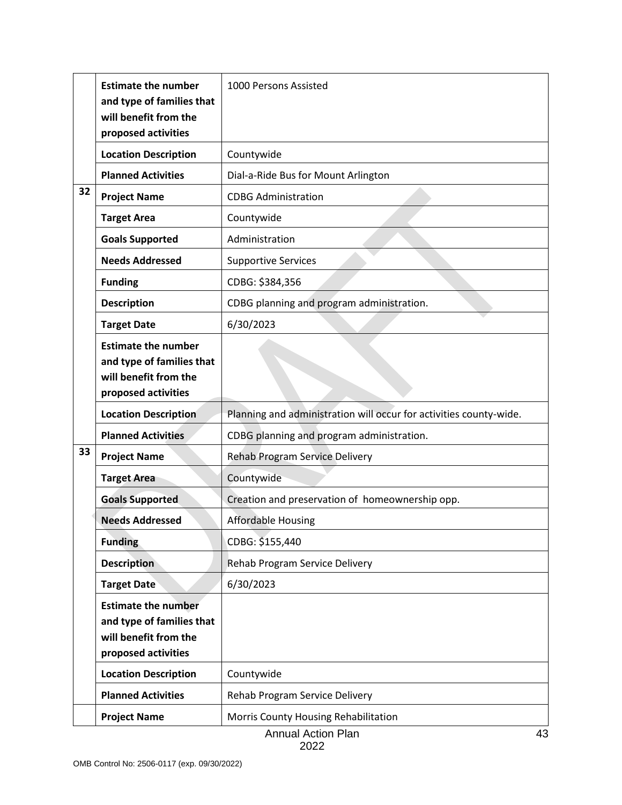|    | <b>Estimate the number</b><br>and type of families that<br>will benefit from the<br>proposed activities | 1000 Persons Assisted                                              |  |  |  |  |  |
|----|---------------------------------------------------------------------------------------------------------|--------------------------------------------------------------------|--|--|--|--|--|
|    | <b>Location Description</b>                                                                             | Countywide                                                         |  |  |  |  |  |
|    | <b>Planned Activities</b>                                                                               | Dial-a-Ride Bus for Mount Arlington                                |  |  |  |  |  |
| 32 | <b>Project Name</b>                                                                                     | <b>CDBG Administration</b>                                         |  |  |  |  |  |
|    | <b>Target Area</b>                                                                                      | Countywide                                                         |  |  |  |  |  |
|    | <b>Goals Supported</b>                                                                                  | Administration                                                     |  |  |  |  |  |
|    | <b>Needs Addressed</b>                                                                                  | <b>Supportive Services</b>                                         |  |  |  |  |  |
|    | <b>Funding</b>                                                                                          | CDBG: \$384,356                                                    |  |  |  |  |  |
|    | <b>Description</b>                                                                                      | CDBG planning and program administration.                          |  |  |  |  |  |
|    | <b>Target Date</b>                                                                                      | 6/30/2023                                                          |  |  |  |  |  |
|    | <b>Estimate the number</b><br>and type of families that<br>will benefit from the<br>proposed activities |                                                                    |  |  |  |  |  |
|    | <b>Location Description</b>                                                                             | Planning and administration will occur for activities county-wide. |  |  |  |  |  |
|    | <b>Planned Activities</b>                                                                               | CDBG planning and program administration.                          |  |  |  |  |  |
| 33 | <b>Project Name</b>                                                                                     | Rehab Program Service Delivery                                     |  |  |  |  |  |
|    | <b>Target Area</b>                                                                                      | Countywide                                                         |  |  |  |  |  |
|    | <b>Goals Supported</b>                                                                                  | Creation and preservation of homeownership opp.                    |  |  |  |  |  |
|    | <b>Needs Addressed</b>                                                                                  | <b>Affordable Housing</b>                                          |  |  |  |  |  |
|    | <b>Funding</b>                                                                                          | CDBG: \$155,440                                                    |  |  |  |  |  |
|    | <b>Description</b>                                                                                      | Rehab Program Service Delivery                                     |  |  |  |  |  |
|    | <b>Target Date</b>                                                                                      | 6/30/2023                                                          |  |  |  |  |  |
|    | <b>Estimate the number</b><br>and type of families that<br>will benefit from the<br>proposed activities |                                                                    |  |  |  |  |  |
|    | <b>Location Description</b>                                                                             | Countywide                                                         |  |  |  |  |  |
|    | <b>Planned Activities</b>                                                                               | Rehab Program Service Delivery                                     |  |  |  |  |  |
|    | <b>Project Name</b>                                                                                     | Morris County Housing Rehabilitation                               |  |  |  |  |  |
|    |                                                                                                         | <b>Annual Action Plan</b><br>43                                    |  |  |  |  |  |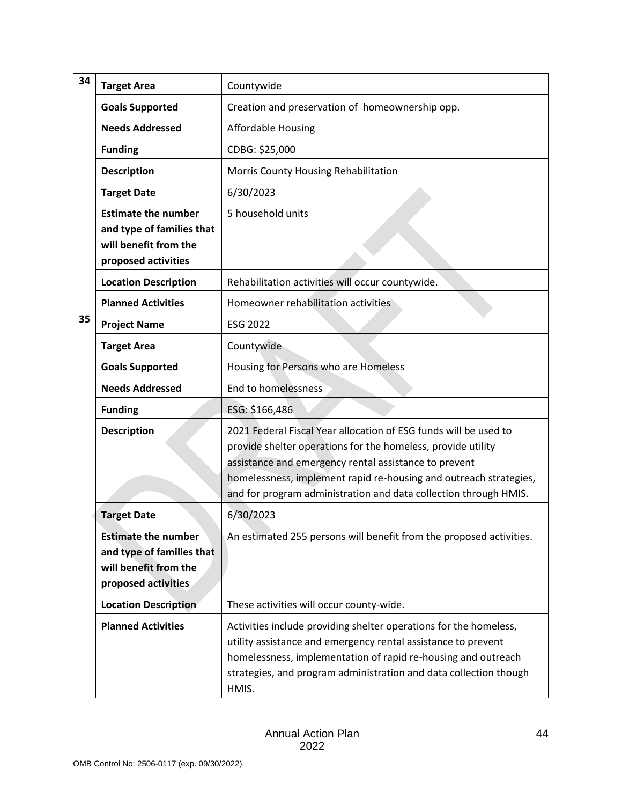| 34 | <b>Target Area</b>                                                                                      | Countywide                                                                                                                                                                                                                                                                                                                         |  |  |  |  |
|----|---------------------------------------------------------------------------------------------------------|------------------------------------------------------------------------------------------------------------------------------------------------------------------------------------------------------------------------------------------------------------------------------------------------------------------------------------|--|--|--|--|
|    | <b>Goals Supported</b>                                                                                  | Creation and preservation of homeownership opp.                                                                                                                                                                                                                                                                                    |  |  |  |  |
|    | <b>Needs Addressed</b>                                                                                  | <b>Affordable Housing</b>                                                                                                                                                                                                                                                                                                          |  |  |  |  |
|    | <b>Funding</b>                                                                                          | CDBG: \$25,000                                                                                                                                                                                                                                                                                                                     |  |  |  |  |
|    | <b>Description</b>                                                                                      | Morris County Housing Rehabilitation                                                                                                                                                                                                                                                                                               |  |  |  |  |
|    | <b>Target Date</b>                                                                                      | 6/30/2023                                                                                                                                                                                                                                                                                                                          |  |  |  |  |
|    | <b>Estimate the number</b><br>and type of families that<br>will benefit from the<br>proposed activities | 5 household units                                                                                                                                                                                                                                                                                                                  |  |  |  |  |
|    | <b>Location Description</b>                                                                             | Rehabilitation activities will occur countywide.                                                                                                                                                                                                                                                                                   |  |  |  |  |
|    | <b>Planned Activities</b>                                                                               | Homeowner rehabilitation activities                                                                                                                                                                                                                                                                                                |  |  |  |  |
| 35 | <b>Project Name</b>                                                                                     | <b>ESG 2022</b>                                                                                                                                                                                                                                                                                                                    |  |  |  |  |
|    | <b>Target Area</b>                                                                                      | Countywide                                                                                                                                                                                                                                                                                                                         |  |  |  |  |
|    | <b>Goals Supported</b>                                                                                  | Housing for Persons who are Homeless                                                                                                                                                                                                                                                                                               |  |  |  |  |
|    | <b>Needs Addressed</b>                                                                                  | End to homelessness                                                                                                                                                                                                                                                                                                                |  |  |  |  |
|    | <b>Funding</b>                                                                                          | ESG: \$166,486                                                                                                                                                                                                                                                                                                                     |  |  |  |  |
|    | <b>Description</b>                                                                                      | 2021 Federal Fiscal Year allocation of ESG funds will be used to<br>provide shelter operations for the homeless, provide utility<br>assistance and emergency rental assistance to prevent<br>homelessness, implement rapid re-housing and outreach strategies,<br>and for program administration and data collection through HMIS. |  |  |  |  |
|    | <b>Target Date</b>                                                                                      | 6/30/2023                                                                                                                                                                                                                                                                                                                          |  |  |  |  |
|    | <b>Estimate the number</b><br>and type of families that<br>will benefit from the<br>proposed activities | An estimated 255 persons will benefit from the proposed activities.                                                                                                                                                                                                                                                                |  |  |  |  |
|    | <b>Location Description</b>                                                                             | These activities will occur county-wide.                                                                                                                                                                                                                                                                                           |  |  |  |  |
|    | <b>Planned Activities</b>                                                                               | Activities include providing shelter operations for the homeless,<br>utility assistance and emergency rental assistance to prevent<br>homelessness, implementation of rapid re-housing and outreach<br>strategies, and program administration and data collection though<br>HMIS.                                                  |  |  |  |  |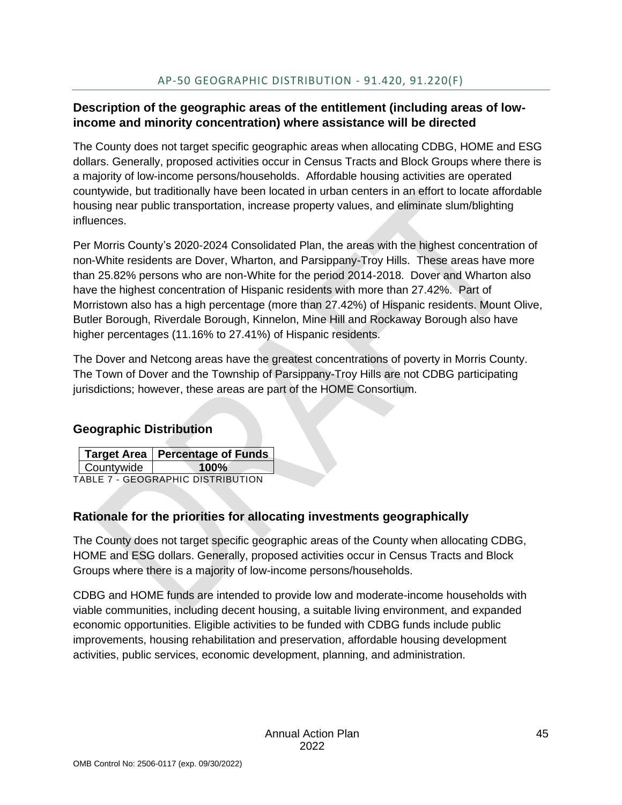### <span id="page-45-0"></span>**Description of the geographic areas of the entitlement (including areas of lowincome and minority concentration) where assistance will be directed**

The County does not target specific geographic areas when allocating CDBG, HOME and ESG dollars. Generally, proposed activities occur in Census Tracts and Block Groups where there is a majority of low-income persons/households. Affordable housing activities are operated countywide, but traditionally have been located in urban centers in an effort to locate affordable housing near public transportation, increase property values, and eliminate slum/blighting influences.

Per Morris County's 2020-2024 Consolidated Plan, the areas with the highest concentration of non-White residents are Dover, Wharton, and Parsippany-Troy Hills. These areas have more than 25.82% persons who are non-White for the period 2014-2018. Dover and Wharton also have the highest concentration of Hispanic residents with more than 27.42%. Part of Morristown also has a high percentage (more than 27.42%) of Hispanic residents. Mount Olive, Butler Borough, Riverdale Borough, Kinnelon, Mine Hill and Rockaway Borough also have higher percentages (11.16% to 27.41%) of Hispanic residents.

The Dover and Netcong areas have the greatest concentrations of poverty in Morris County. The Town of Dover and the Township of Parsippany-Troy Hills are not CDBG participating jurisdictions; however, these areas are part of the HOME Consortium.

## **Geographic Distribution**

|            | Target Area   Percentage of Funds |
|------------|-----------------------------------|
| Countywide | $100\%$                           |

<span id="page-45-1"></span>TABLE 7 - GEOGRAPHIC DISTRIBUTION

## **Rationale for the priorities for allocating investments geographically**

The County does not target specific geographic areas of the County when allocating CDBG, HOME and ESG dollars. Generally, proposed activities occur in Census Tracts and Block Groups where there is a majority of low-income persons/households.

CDBG and HOME funds are intended to provide low and moderate-income households with viable communities, including decent housing, a suitable living environment, and expanded economic opportunities. Eligible activities to be funded with CDBG funds include public improvements, housing rehabilitation and preservation, affordable housing development activities, public services, economic development, planning, and administration.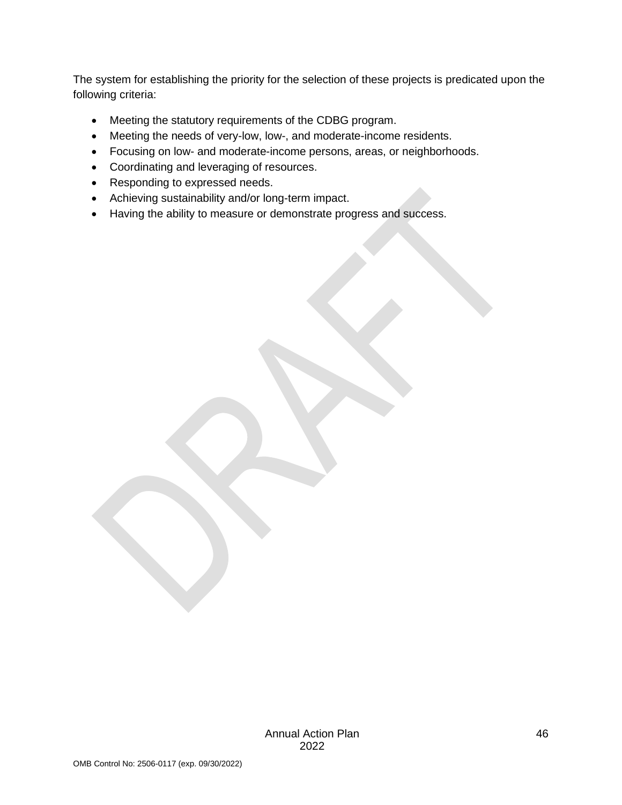The system for establishing the priority for the selection of these projects is predicated upon the following criteria:

- Meeting the statutory requirements of the CDBG program.
- Meeting the needs of very-low, low-, and moderate-income residents.
- Focusing on low- and moderate-income persons, areas, or neighborhoods.
- Coordinating and leveraging of resources.
- Responding to expressed needs.
- Achieving sustainability and/or long-term impact.
- Having the ability to measure or demonstrate progress and success.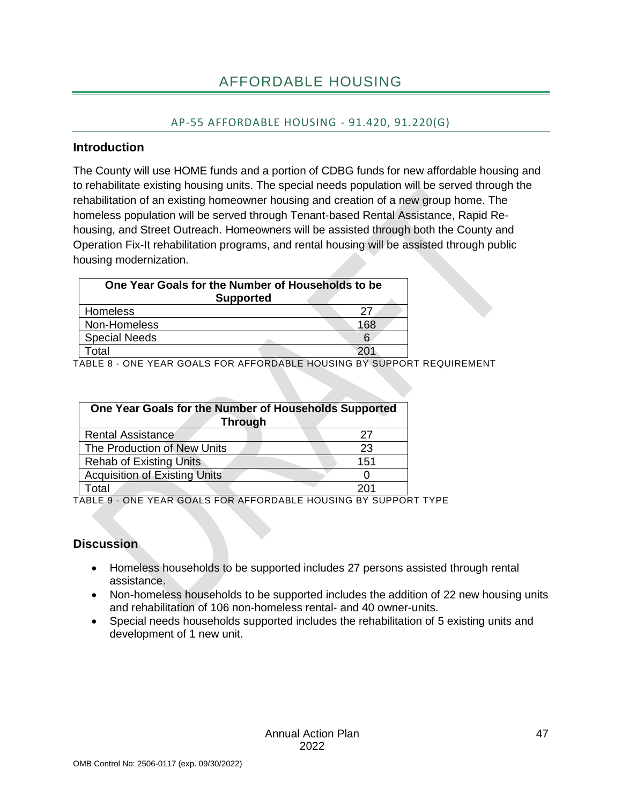## AP-55 AFFORDABLE HOUSING - 91.420, 91.220(G)

#### <span id="page-47-1"></span><span id="page-47-0"></span>**Introduction**

The County will use HOME funds and a portion of CDBG funds for new affordable housing and to rehabilitate existing housing units. The special needs population will be served through the rehabilitation of an existing homeowner housing and creation of a new group home. The homeless population will be served through Tenant-based Rental Assistance, Rapid Rehousing, and Street Outreach. Homeowners will be assisted through both the County and Operation Fix-It rehabilitation programs, and rental housing will be assisted through public housing modernization.

| One Year Goals for the Number of Households to be<br><b>Supported</b> |     |  |  |  |
|-----------------------------------------------------------------------|-----|--|--|--|
| Homeless                                                              | 27  |  |  |  |
| Non-Homeless                                                          | 168 |  |  |  |
| <b>Special Needs</b>                                                  |     |  |  |  |
| ็∩tal                                                                 |     |  |  |  |

<span id="page-47-2"></span>TABLE 8 - ONE YEAR GOALS FOR AFFORDABLE HOUSING BY SUPPORT REQUIREMENT

| One Year Goals for the Number of Households Supported<br><b>Through</b> |     |
|-------------------------------------------------------------------------|-----|
| <b>Rental Assistance</b>                                                | 27  |
| The Production of New Units                                             | 23  |
| <b>Rehab of Existing Units</b>                                          | 151 |
| <b>Acquisition of Existing Units</b>                                    |     |
| otal                                                                    | 201 |

<span id="page-47-3"></span>TABLE 9 - ONE YEAR GOALS FOR AFFORDABLE HOUSING BY SUPPORT TYPE

## **Discussion**

- Homeless households to be supported includes 27 persons assisted through rental assistance.
- Non-homeless households to be supported includes the addition of 22 new housing units and rehabilitation of 106 non-homeless rental- and 40 owner-units.
- Special needs households supported includes the rehabilitation of 5 existing units and development of 1 new unit.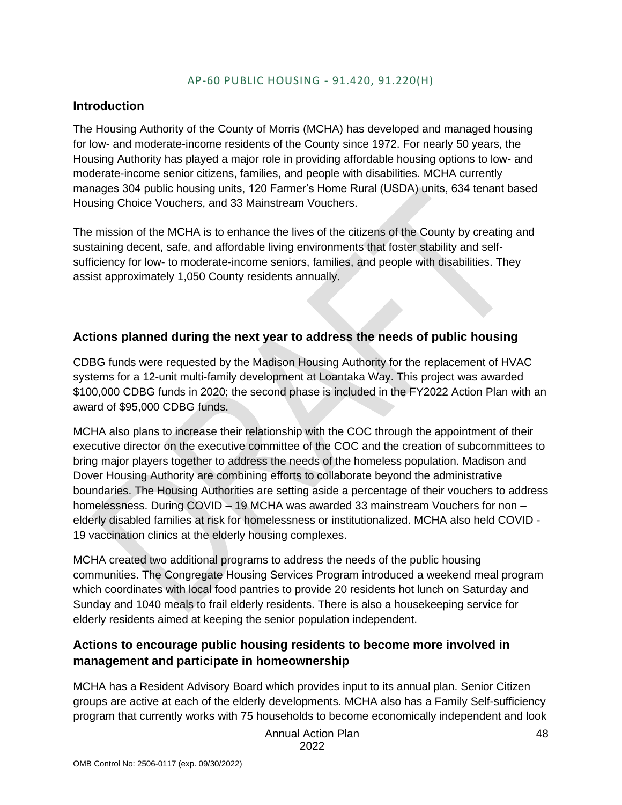#### <span id="page-48-0"></span>**Introduction**

The Housing Authority of the County of Morris (MCHA) has developed and managed housing for low- and moderate-income residents of the County since 1972. For nearly 50 years, the Housing Authority has played a major role in providing affordable housing options to low- and moderate-income senior citizens, families, and people with disabilities. MCHA currently manages 304 public housing units, 120 Farmer's Home Rural (USDA) units, 634 tenant based Housing Choice Vouchers, and 33 Mainstream Vouchers.

The mission of the MCHA is to enhance the lives of the citizens of the County by creating and sustaining decent, safe, and affordable living environments that foster stability and selfsufficiency for low- to moderate-income seniors, families, and people with disabilities. They assist approximately 1,050 County residents annually.

#### **Actions planned during the next year to address the needs of public housing**

CDBG funds were requested by the Madison Housing Authority for the replacement of HVAC systems for a 12-unit multi-family development at Loantaka Way. This project was awarded \$100,000 CDBG funds in 2020; the second phase is included in the FY2022 Action Plan with an award of \$95,000 CDBG funds.

MCHA also plans to increase their relationship with the COC through the appointment of their executive director on the executive committee of the COC and the creation of subcommittees to bring major players together to address the needs of the homeless population. Madison and Dover Housing Authority are combining efforts to collaborate beyond the administrative boundaries. The Housing Authorities are setting aside a percentage of their vouchers to address homelessness. During COVID – 19 MCHA was awarded 33 mainstream Vouchers for non – elderly disabled families at risk for homelessness or institutionalized. MCHA also held COVID - 19 vaccination clinics at the elderly housing complexes.

MCHA created two additional programs to address the needs of the public housing communities. The Congregate Housing Services Program introduced a weekend meal program which coordinates with local food pantries to provide 20 residents hot lunch on Saturday and Sunday and 1040 meals to frail elderly residents. There is also a housekeeping service for elderly residents aimed at keeping the senior population independent.

## **Actions to encourage public housing residents to become more involved in management and participate in homeownership**

MCHA has a Resident Advisory Board which provides input to its annual plan. Senior Citizen groups are active at each of the elderly developments. MCHA also has a Family Self-sufficiency program that currently works with 75 households to become economically independent and look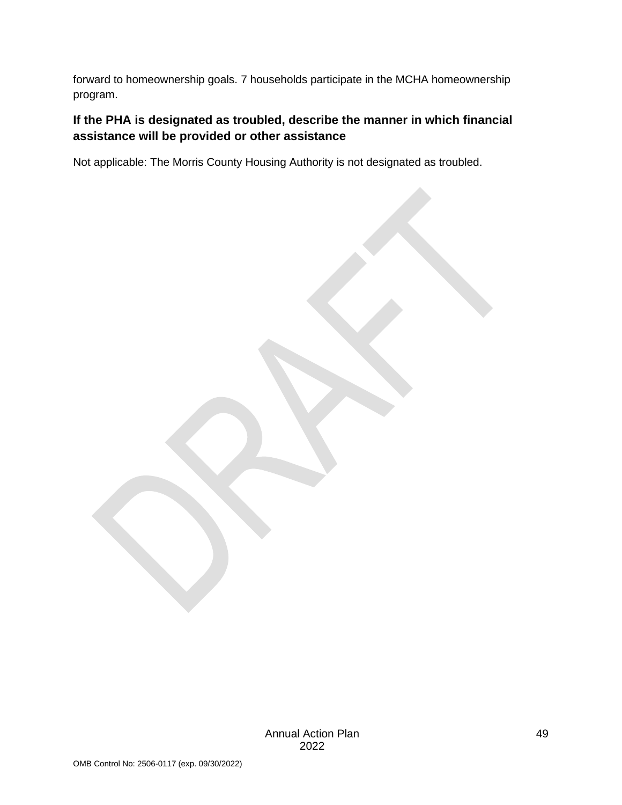forward to homeownership goals. 7 households participate in the MCHA homeownership program.

## **If the PHA is designated as troubled, describe the manner in which financial assistance will be provided or other assistance**

Not applicable: The Morris County Housing Authority is not designated as troubled.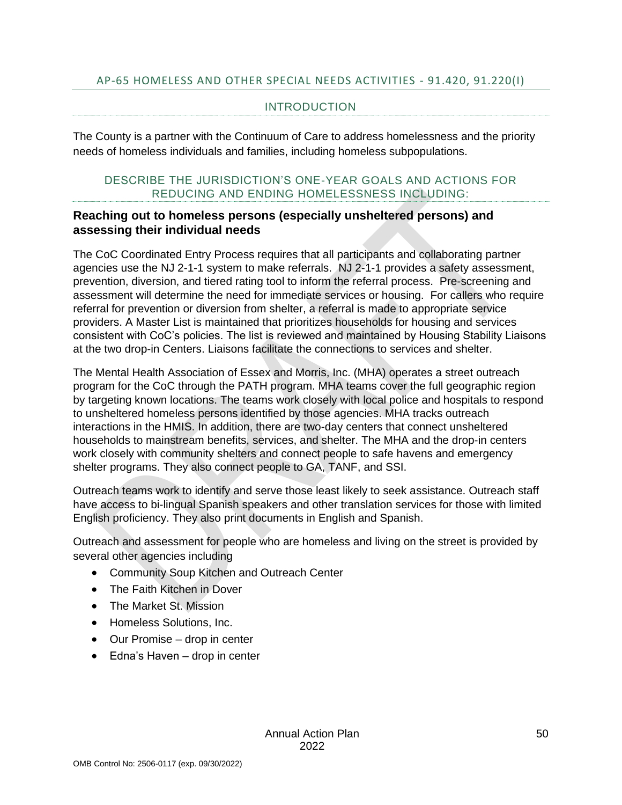#### <span id="page-50-0"></span>AP-65 HOMELESS AND OTHER SPECIAL NEEDS ACTIVITIES - 91.420, 91.220(I)

#### INTRODUCTION

The County is a partner with the Continuum of Care to address homelessness and the priority needs of homeless individuals and families, including homeless subpopulations.

#### DESCRIBE THE JURISDICTION'S ONE-YEAR GOALS AND ACTIONS FOR REDUCING AND ENDING HOMELESSNESS INCLUDING:

#### **Reaching out to homeless persons (especially unsheltered persons) and assessing their individual needs**

The CoC Coordinated Entry Process requires that all participants and collaborating partner agencies use the NJ 2-1-1 system to make referrals. NJ 2-1-1 provides a safety assessment, prevention, diversion, and tiered rating tool to inform the referral process. Pre-screening and assessment will determine the need for immediate services or housing. For callers who require referral for prevention or diversion from shelter, a referral is made to appropriate service providers. A Master List is maintained that prioritizes households for housing and services consistent with CoC's policies. The list is reviewed and maintained by Housing Stability Liaisons at the two drop-in Centers. Liaisons facilitate the connections to services and shelter.

The Mental Health Association of Essex and Morris, Inc. (MHA) operates a street outreach program for the CoC through the PATH program. MHA teams cover the full geographic region by targeting known locations. The teams work closely with local police and hospitals to respond to unsheltered homeless persons identified by those agencies. MHA tracks outreach interactions in the HMIS. In addition, there are two-day centers that connect unsheltered households to mainstream benefits, services, and shelter. The MHA and the drop-in centers work closely with community shelters and connect people to safe havens and emergency shelter programs. They also connect people to GA, TANF, and SSI.

Outreach teams work to identify and serve those least likely to seek assistance. Outreach staff have access to bi-lingual Spanish speakers and other translation services for those with limited English proficiency. They also print documents in English and Spanish.

Outreach and assessment for people who are homeless and living on the street is provided by several other agencies including

- Community Soup Kitchen and Outreach Center
- The Faith Kitchen in Dover
- The Market St. Mission
- Homeless Solutions, Inc.
- Our Promise drop in center
- Edna's Haven drop in center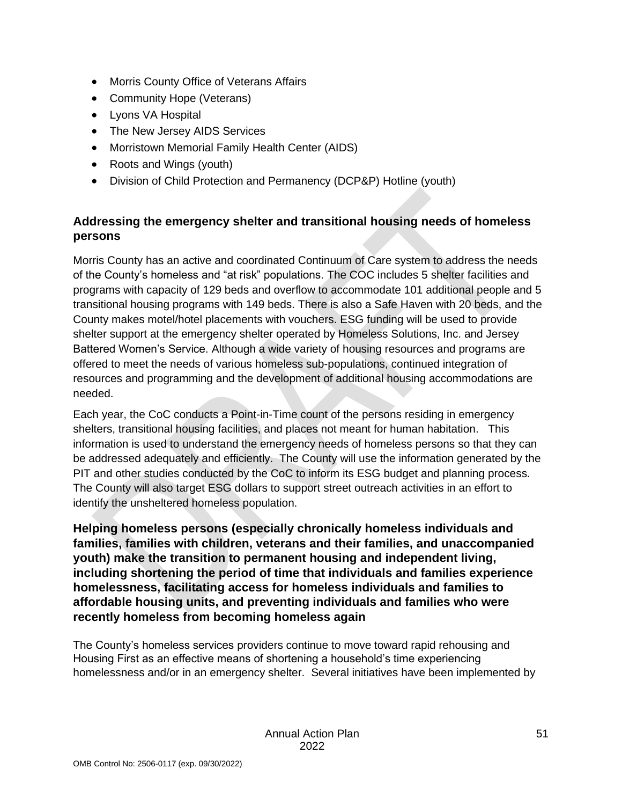- Morris County Office of Veterans Affairs
- Community Hope (Veterans)
- Lyons VA Hospital
- The New Jersey AIDS Services
- Morristown Memorial Family Health Center (AIDS)
- Roots and Wings (youth)
- Division of Child Protection and Permanency (DCP&P) Hotline (youth)

## **Addressing the emergency shelter and transitional housing needs of homeless persons**

Morris County has an active and coordinated Continuum of Care system to address the needs of the County's homeless and "at risk" populations. The COC includes 5 shelter facilities and programs with capacity of 129 beds and overflow to accommodate 101 additional people and 5 transitional housing programs with 149 beds. There is also a Safe Haven with 20 beds, and the County makes motel/hotel placements with vouchers. ESG funding will be used to provide shelter support at the emergency shelter operated by Homeless Solutions, Inc. and Jersey Battered Women's Service. Although a wide variety of housing resources and programs are offered to meet the needs of various homeless sub-populations, continued integration of resources and programming and the development of additional housing accommodations are needed.

Each year, the CoC conducts a Point-in-Time count of the persons residing in emergency shelters, transitional housing facilities, and places not meant for human habitation. This information is used to understand the emergency needs of homeless persons so that they can be addressed adequately and efficiently. The County will use the information generated by the PIT and other studies conducted by the CoC to inform its ESG budget and planning process. The County will also target ESG dollars to support street outreach activities in an effort to identify the unsheltered homeless population.

**Helping homeless persons (especially chronically homeless individuals and families, families with children, veterans and their families, and unaccompanied youth) make the transition to permanent housing and independent living, including shortening the period of time that individuals and families experience homelessness, facilitating access for homeless individuals and families to affordable housing units, and preventing individuals and families who were recently homeless from becoming homeless again**

The County's homeless services providers continue to move toward rapid rehousing and Housing First as an effective means of shortening a household's time experiencing homelessness and/or in an emergency shelter. Several initiatives have been implemented by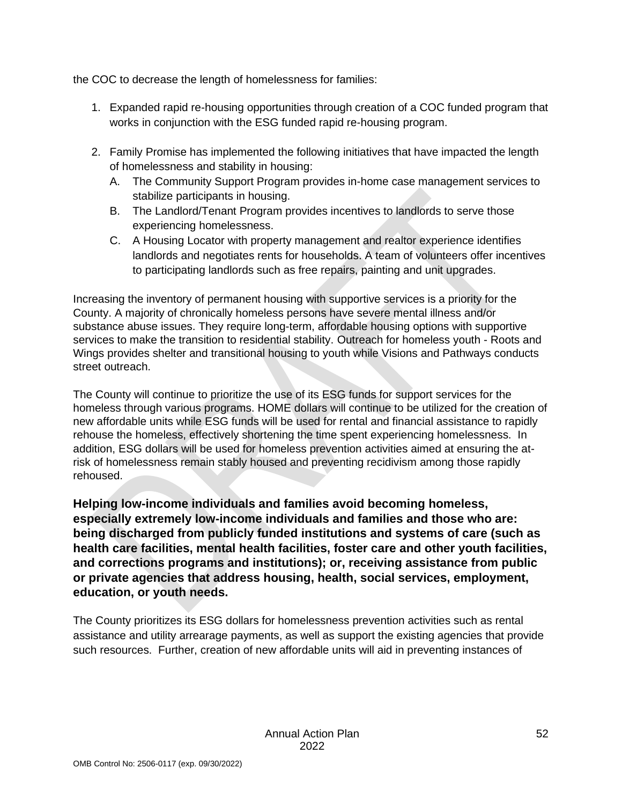the COC to decrease the length of homelessness for families:

- 1. Expanded rapid re-housing opportunities through creation of a COC funded program that works in conjunction with the ESG funded rapid re-housing program.
- 2. Family Promise has implemented the following initiatives that have impacted the length of homelessness and stability in housing:
	- A. The Community Support Program provides in-home case management services to stabilize participants in housing.
	- B. The Landlord/Tenant Program provides incentives to landlords to serve those experiencing homelessness.
	- C. A Housing Locator with property management and realtor experience identifies landlords and negotiates rents for households. A team of volunteers offer incentives to participating landlords such as free repairs, painting and unit upgrades.

Increasing the inventory of permanent housing with supportive services is a priority for the County. A majority of chronically homeless persons have severe mental illness and/or substance abuse issues. They require long-term, affordable housing options with supportive services to make the transition to residential stability. Outreach for homeless youth - Roots and Wings provides shelter and transitional housing to youth while Visions and Pathways conducts street outreach.

The County will continue to prioritize the use of its ESG funds for support services for the homeless through various programs. HOME dollars will continue to be utilized for the creation of new affordable units while ESG funds will be used for rental and financial assistance to rapidly rehouse the homeless, effectively shortening the time spent experiencing homelessness. In addition, ESG dollars will be used for homeless prevention activities aimed at ensuring the atrisk of homelessness remain stably housed and preventing recidivism among those rapidly rehoused.

**Helping low-income individuals and families avoid becoming homeless, especially extremely low-income individuals and families and those who are: being discharged from publicly funded institutions and systems of care (such as health care facilities, mental health facilities, foster care and other youth facilities, and corrections programs and institutions); or, receiving assistance from public or private agencies that address housing, health, social services, employment, education, or youth needs.**

The County prioritizes its ESG dollars for homelessness prevention activities such as rental assistance and utility arrearage payments, as well as support the existing agencies that provide such resources. Further, creation of new affordable units will aid in preventing instances of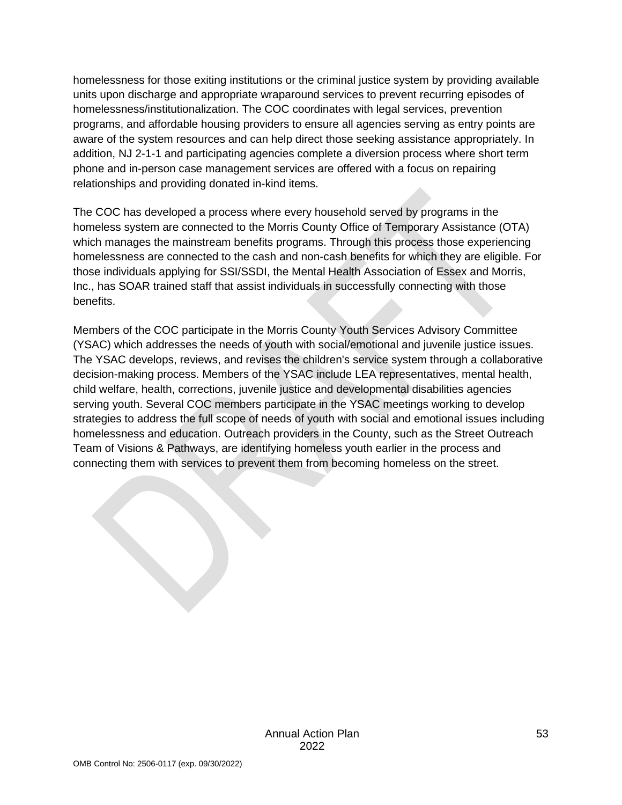homelessness for those exiting institutions or the criminal justice system by providing available units upon discharge and appropriate wraparound services to prevent recurring episodes of homelessness/institutionalization. The COC coordinates with legal services, prevention programs, and affordable housing providers to ensure all agencies serving as entry points are aware of the system resources and can help direct those seeking assistance appropriately. In addition, NJ 2-1-1 and participating agencies complete a diversion process where short term phone and in-person case management services are offered with a focus on repairing relationships and providing donated in-kind items.

The COC has developed a process where every household served by programs in the homeless system are connected to the Morris County Office of Temporary Assistance (OTA) which manages the mainstream benefits programs. Through this process those experiencing homelessness are connected to the cash and non-cash benefits for which they are eligible. For those individuals applying for SSI/SSDI, the Mental Health Association of Essex and Morris, Inc., has SOAR trained staff that assist individuals in successfully connecting with those benefits.

Members of the COC participate in the Morris County Youth Services Advisory Committee (YSAC) which addresses the needs of youth with social/emotional and juvenile justice issues. The YSAC develops, reviews, and revises the children's service system through a collaborative decision-making process. Members of the YSAC include LEA representatives, mental health, child welfare, health, corrections, juvenile justice and developmental disabilities agencies serving youth. Several COC members participate in the YSAC meetings working to develop strategies to address the full scope of needs of youth with social and emotional issues including homelessness and education. Outreach providers in the County, such as the Street Outreach Team of Visions & Pathways, are identifying homeless youth earlier in the process and connecting them with services to prevent them from becoming homeless on the street.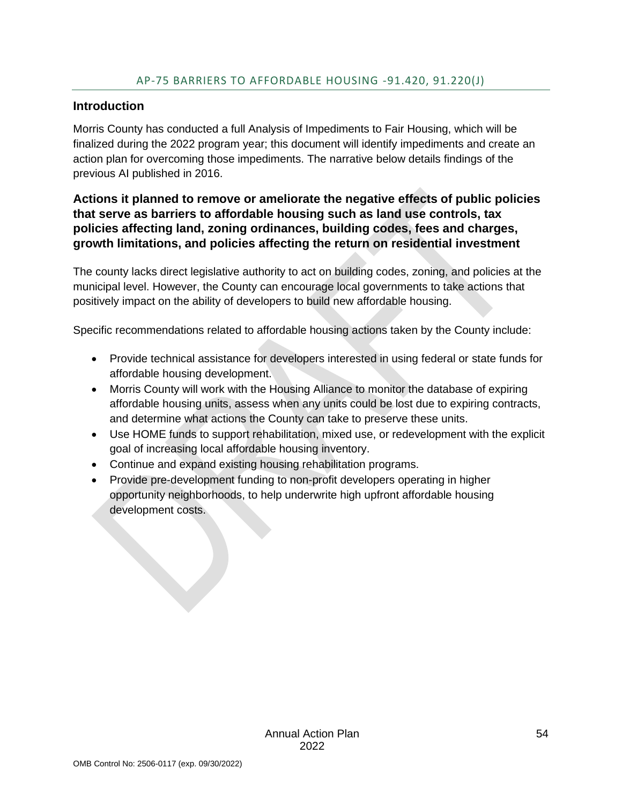#### <span id="page-54-0"></span>**Introduction**

Morris County has conducted a full Analysis of Impediments to Fair Housing, which will be finalized during the 2022 program year; this document will identify impediments and create an action plan for overcoming those impediments. The narrative below details findings of the previous AI published in 2016.

#### **Actions it planned to remove or ameliorate the negative effects of public policies that serve as barriers to affordable housing such as land use controls, tax policies affecting land, zoning ordinances, building codes, fees and charges, growth limitations, and policies affecting the return on residential investment**

The county lacks direct legislative authority to act on building codes, zoning, and policies at the municipal level. However, the County can encourage local governments to take actions that positively impact on the ability of developers to build new affordable housing.

Specific recommendations related to affordable housing actions taken by the County include:

- Provide technical assistance for developers interested in using federal or state funds for affordable housing development.
- Morris County will work with the Housing Alliance to monitor the database of expiring affordable housing units, assess when any units could be lost due to expiring contracts, and determine what actions the County can take to preserve these units.
- Use HOME funds to support rehabilitation, mixed use, or redevelopment with the explicit goal of increasing local affordable housing inventory.
- Continue and expand existing housing rehabilitation programs.
- Provide pre-development funding to non-profit developers operating in higher opportunity neighborhoods, to help underwrite high upfront affordable housing development costs.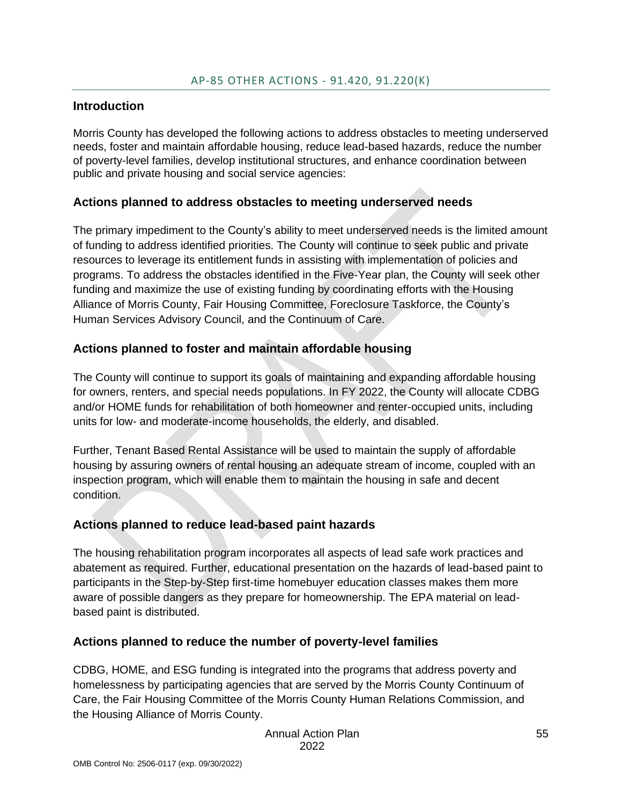#### <span id="page-55-0"></span>**Introduction**

Morris County has developed the following actions to address obstacles to meeting underserved needs, foster and maintain affordable housing, reduce lead-based hazards, reduce the number of poverty-level families, develop institutional structures, and enhance coordination between public and private housing and social service agencies:

### **Actions planned to address obstacles to meeting underserved needs**

The primary impediment to the County's ability to meet underserved needs is the limited amount of funding to address identified priorities. The County will continue to seek public and private resources to leverage its entitlement funds in assisting with implementation of policies and programs. To address the obstacles identified in the Five-Year plan, the County will seek other funding and maximize the use of existing funding by coordinating efforts with the Housing Alliance of Morris County, Fair Housing Committee, Foreclosure Taskforce, the County's Human Services Advisory Council, and the Continuum of Care.

## **Actions planned to foster and maintain affordable housing**

The County will continue to support its goals of maintaining and expanding affordable housing for owners, renters, and special needs populations. In FY 2022, the County will allocate CDBG and/or HOME funds for rehabilitation of both homeowner and renter-occupied units, including units for low- and moderate-income households, the elderly, and disabled.

Further, Tenant Based Rental Assistance will be used to maintain the supply of affordable housing by assuring owners of rental housing an adequate stream of income, coupled with an inspection program, which will enable them to maintain the housing in safe and decent condition.

### **Actions planned to reduce lead-based paint hazards**

The housing rehabilitation program incorporates all aspects of lead safe work practices and abatement as required. Further, educational presentation on the hazards of lead-based paint to participants in the Step-by-Step first-time homebuyer education classes makes them more aware of possible dangers as they prepare for homeownership. The EPA material on leadbased paint is distributed.

### **Actions planned to reduce the number of poverty-level families**

CDBG, HOME, and ESG funding is integrated into the programs that address poverty and homelessness by participating agencies that are served by the Morris County Continuum of Care, the Fair Housing Committee of the Morris County Human Relations Commission, and the Housing Alliance of Morris County.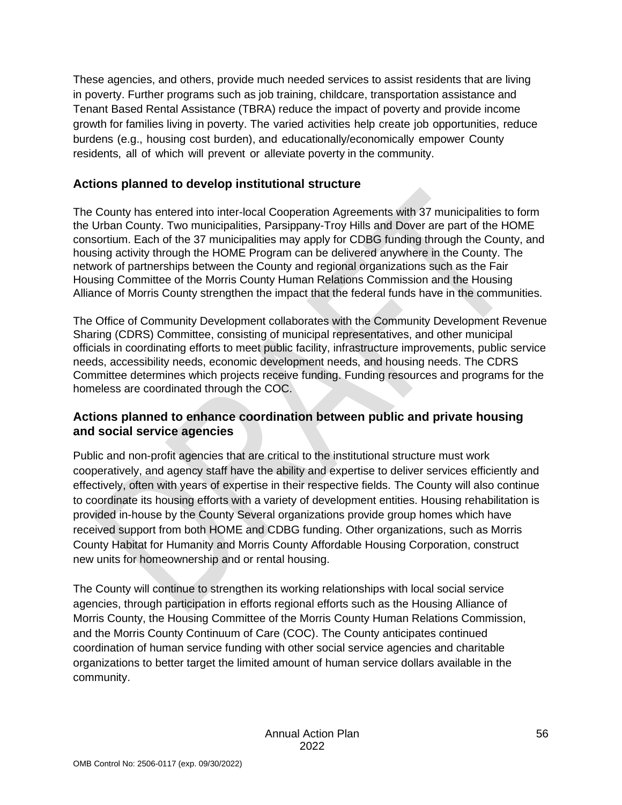These agencies, and others, provide much needed services to assist residents that are living in poverty. Further programs such as job training, childcare, transportation assistance and Tenant Based Rental Assistance (TBRA) reduce the impact of poverty and provide income growth for families living in poverty. The varied activities help create job opportunities, reduce burdens (e.g., housing cost burden), and educationally/economically empower County residents, all of which will prevent or alleviate poverty in the community.

### **Actions planned to develop institutional structure**

The County has entered into inter-local Cooperation Agreements with 37 municipalities to form the Urban County. Two municipalities, Parsippany-Troy Hills and Dover are part of the HOME consortium. Each of the 37 municipalities may apply for CDBG funding through the County, and housing activity through the HOME Program can be delivered anywhere in the County. The network of partnerships between the County and regional organizations such as the Fair Housing Committee of the Morris County Human Relations Commission and the Housing Alliance of Morris County strengthen the impact that the federal funds have in the communities.

The Office of Community Development collaborates with the Community Development Revenue Sharing (CDRS) Committee, consisting of municipal representatives, and other municipal officials in coordinating efforts to meet public facility, infrastructure improvements, public service needs, accessibility needs, economic development needs, and housing needs. The CDRS Committee determines which projects receive funding. Funding resources and programs for the homeless are coordinated through the COC.

#### **Actions planned to enhance coordination between public and private housing and social service agencies**

Public and non-profit agencies that are critical to the institutional structure must work cooperatively, and agency staff have the ability and expertise to deliver services efficiently and effectively, often with years of expertise in their respective fields. The County will also continue to coordinate its housing efforts with a variety of development entities. Housing rehabilitation is provided in-house by the County Several organizations provide group homes which have received support from both HOME and CDBG funding. Other organizations, such as Morris County Habitat for Humanity and Morris County Affordable Housing Corporation, construct new units for homeownership and or rental housing.

The County will continue to strengthen its working relationships with local social service agencies, through participation in efforts regional efforts such as the Housing Alliance of Morris County, the Housing Committee of the Morris County Human Relations Commission, and the Morris County Continuum of Care (COC). The County anticipates continued coordination of human service funding with other social service agencies and charitable organizations to better target the limited amount of human service dollars available in the community.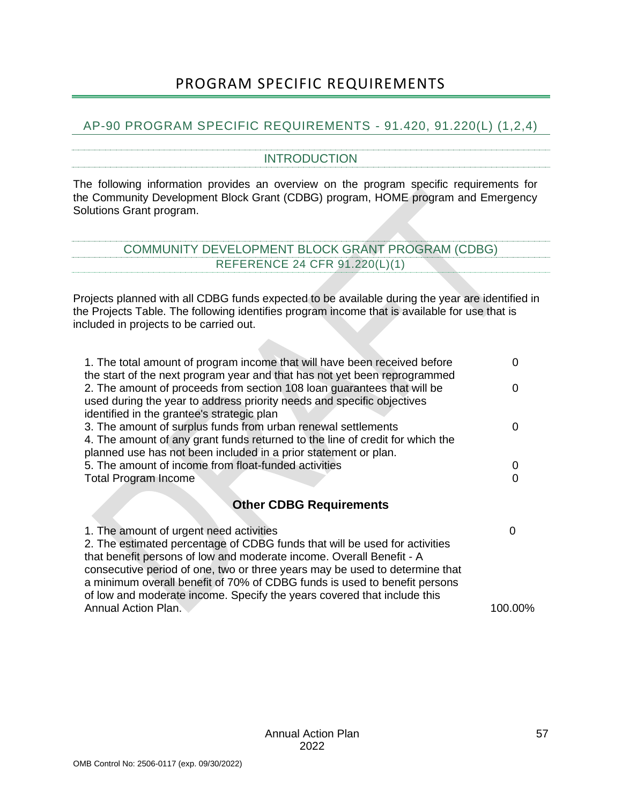## PROGRAM SPECIFIC REQUIREMENTS

#### <span id="page-57-2"></span><span id="page-57-1"></span><span id="page-57-0"></span>AP-90 PROGRAM SPECIFIC REQUIREMENTS - 91.420, 91.220(L) (1,2,4)

#### INTRODUCTION

The following information provides an overview on the program specific requirements for the Community Development Block Grant (CDBG) program, HOME program and Emergency Solutions Grant program.

<span id="page-57-3"></span>

| OMMUNITY DEVELOPMENT BLOCK GRANT PROGRAM (CDF |                              |  |  |  |
|-----------------------------------------------|------------------------------|--|--|--|
|                                               | FERENCE 24 CFR 91.220(L)(1): |  |  |  |

Projects planned with all CDBG funds expected to be available during the year are identified in the Projects Table. The following identifies program income that is available for use that is included in projects to be carried out.

| 1. The total amount of program income that will have been received before<br>the start of the next program year and that has not yet been reprogrammed |   |
|--------------------------------------------------------------------------------------------------------------------------------------------------------|---|
| 2. The amount of proceeds from section 108 loan guarantees that will be                                                                                | O |
| used during the year to address priority needs and specific objectives<br>identified in the grantee's strategic plan                                   |   |
|                                                                                                                                                        | O |
| 3. The amount of surplus funds from urban renewal settlements                                                                                          |   |
| 4. The amount of any grant funds returned to the line of credit for which the                                                                          |   |
| planned use has not been included in a prior statement or plan.                                                                                        |   |
| 5. The amount of income from float-funded activities                                                                                                   |   |
| Total Program Income                                                                                                                                   |   |
| <b>Other CDBG Requirements</b>                                                                                                                         |   |
|                                                                                                                                                        |   |
| 1. The amount of urgent need activities                                                                                                                |   |
| 2. The estimated percentage of CDBG funds that will be used for activities                                                                             |   |
| that benefit persons of low and moderate income. Overall Benefit - A                                                                                   |   |
| consecutive period of one, two or three years may be used to determine that                                                                            |   |
| a minimum overall benefit of 70% of CDBG funds is used to benefit persons                                                                              |   |
|                                                                                                                                                        |   |

of low and moderate income. Specify the years covered that include this Annual Action Plan. 100.00%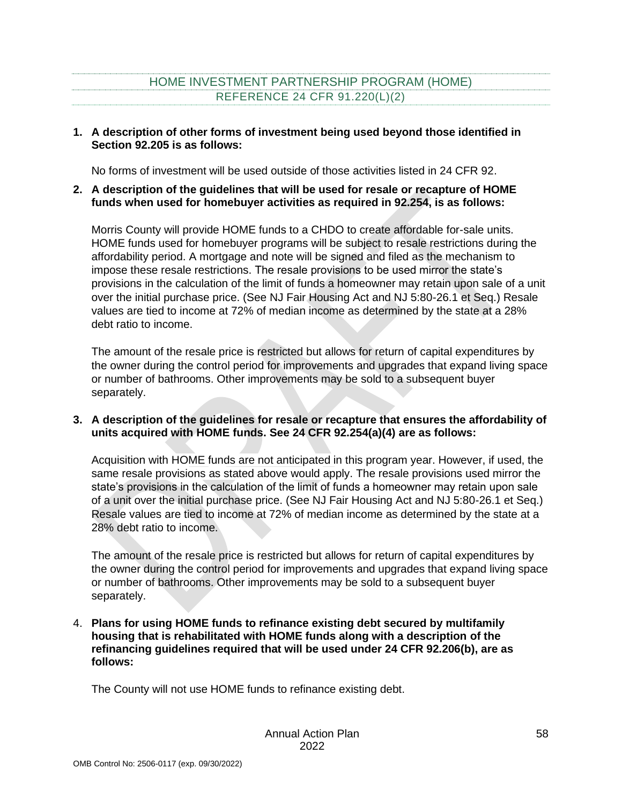## HOME INVESTMENT PARTNERSHIP PROGRAM (HOME) REFERENCE 24 CFR 91.220(L)(2)

#### <span id="page-58-0"></span>**1. A description of other forms of investment being used beyond those identified in Section 92.205 is as follows:**

No forms of investment will be used outside of those activities listed in 24 CFR 92.

#### **2. A description of the guidelines that will be used for resale or recapture of HOME funds when used for homebuyer activities as required in 92.254, is as follows:**

Morris County will provide HOME funds to a CHDO to create affordable for-sale units. HOME funds used for homebuyer programs will be subject to resale restrictions during the affordability period. A mortgage and note will be signed and filed as the mechanism to impose these resale restrictions. The resale provisions to be used mirror the state's provisions in the calculation of the limit of funds a homeowner may retain upon sale of a unit over the initial purchase price. (See NJ Fair Housing Act and NJ 5:80-26.1 et Seq.) Resale values are tied to income at 72% of median income as determined by the state at a 28% debt ratio to income.

The amount of the resale price is restricted but allows for return of capital expenditures by the owner during the control period for improvements and upgrades that expand living space or number of bathrooms. Other improvements may be sold to a subsequent buyer separately.

#### **3. A description of the guidelines for resale or recapture that ensures the affordability of units acquired with HOME funds. See 24 CFR 92.254(a)(4) are as follows:**

Acquisition with HOME funds are not anticipated in this program year. However, if used, the same resale provisions as stated above would apply. The resale provisions used mirror the state's provisions in the calculation of the limit of funds a homeowner may retain upon sale of a unit over the initial purchase price. (See NJ Fair Housing Act and NJ 5:80-26.1 et Seq.) Resale values are tied to income at 72% of median income as determined by the state at a 28% debt ratio to income.

The amount of the resale price is restricted but allows for return of capital expenditures by the owner during the control period for improvements and upgrades that expand living space or number of bathrooms. Other improvements may be sold to a subsequent buyer separately.

4. **Plans for using HOME funds to refinance existing debt secured by multifamily housing that is rehabilitated with HOME funds along with a description of the refinancing guidelines required that will be used under 24 CFR 92.206(b), are as follows:**

The County will not use HOME funds to refinance existing debt.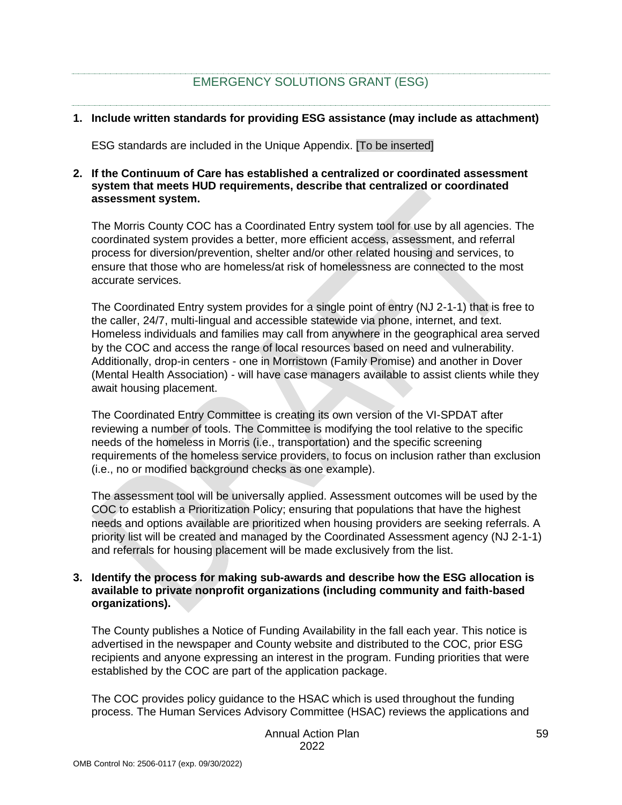## EMERGENCY SOLUTIONS GRANT (ESG)

#### <span id="page-59-0"></span>**1. Include written standards for providing ESG assistance (may include as attachment)**

ESG standards are included in the Unique Appendix. [To be inserted]

#### **2. If the Continuum of Care has established a centralized or coordinated assessment system that meets HUD requirements, describe that centralized or coordinated assessment system.**

The Morris County COC has a Coordinated Entry system tool for use by all agencies. The coordinated system provides a better, more efficient access, assessment, and referral process for diversion/prevention, shelter and/or other related housing and services, to ensure that those who are homeless/at risk of homelessness are connected to the most accurate services.

The Coordinated Entry system provides for a single point of entry (NJ 2-1-1) that is free to the caller, 24/7, multi-lingual and accessible statewide via phone, internet, and text. Homeless individuals and families may call from anywhere in the geographical area served by the COC and access the range of local resources based on need and vulnerability. Additionally, drop-in centers - one in Morristown (Family Promise) and another in Dover (Mental Health Association) - will have case managers available to assist clients while they await housing placement.

The Coordinated Entry Committee is creating its own version of the VI-SPDAT after reviewing a number of tools. The Committee is modifying the tool relative to the specific needs of the homeless in Morris (i.e., transportation) and the specific screening requirements of the homeless service providers, to focus on inclusion rather than exclusion (i.e., no or modified background checks as one example).

The assessment tool will be universally applied. Assessment outcomes will be used by the COC to establish a Prioritization Policy; ensuring that populations that have the highest needs and options available are prioritized when housing providers are seeking referrals. A priority list will be created and managed by the Coordinated Assessment agency (NJ 2-1-1) and referrals for housing placement will be made exclusively from the list.

#### **3. Identify the process for making sub-awards and describe how the ESG allocation is available to private nonprofit organizations (including community and faith-based organizations).**

The County publishes a Notice of Funding Availability in the fall each year. This notice is advertised in the newspaper and County website and distributed to the COC, prior ESG recipients and anyone expressing an interest in the program. Funding priorities that were established by the COC are part of the application package.

The COC provides policy guidance to the HSAC which is used throughout the funding process. The Human Services Advisory Committee (HSAC) reviews the applications and